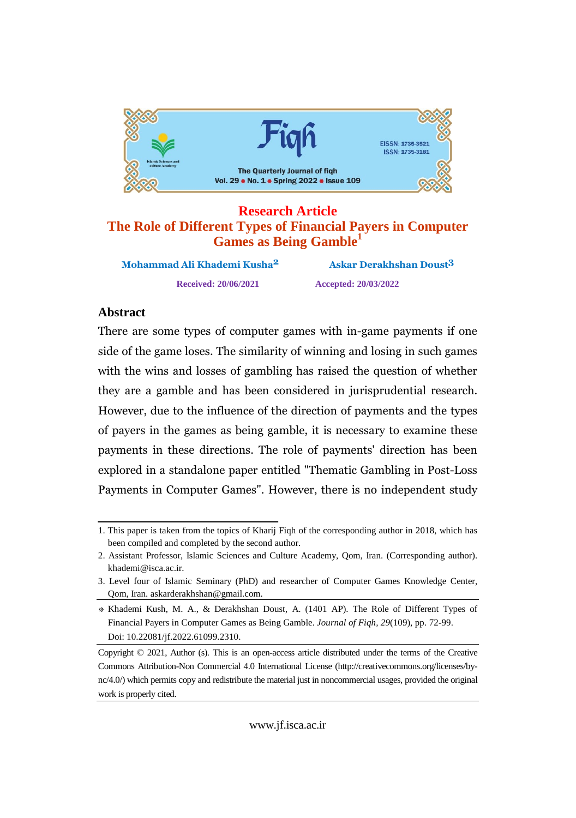

#### **Research Article The Role of Different Types of Financial Payers in Computer Games as Being Gamble 1**

**MohammadReceived: 20/06/2021 Accepted: 20/03/2022**

**Ali Khademi Kusha2 Askar Derakhshan Doust3**

# Abstract

 are some types of computer games with in-game payments if one sideof the game loses. The similarity of winning and losing in such games  $rac{1}{\sqrt{2}}$ the wins and losses of gambling has raised the question of whether weeks the set of the set of the set of the set of the set of the set of the set of the set of the set of the s<br>design to the set of the set of the set of the set of the set of the set of the set of the set of the set of t<br> they are a gamble and has been considered in jurisprudential research. due to the influence of the direction of payments and the types  $\ddot{\phantom{0}}$ payers in the games as being gamble, it is necessary to examine these  $\mathfrak{p}$  payments in these directions. The role of payments' direction has been pa<sub>r</sub>mone in <sup>a</sup> standalone paper entitled "Thematic Gambling in Post-Loss  $en$ *Processi* Payments in Computer Games". However, there is no independent study

<sup>1.</sup> This paper is taken from the topics of Kharij Fiqh of the corresponding author in 2018, which has been compiled and completed by the second author.

<sup>2.</sup> Assistant Professor, Islamic Sciences and Culture Academy, Qom, Iran. (Corresponding author). [khademi@isca.ac.ir.](mailto:khademi@isca.ac.ir.)

<sup>3.</sup> Level four of Islamic Seminary (PhD) and researcher of Computer Games Knowledge Center, Qom, Iran. [askarderakhshan@gmail.com.](mailto:askarderakhshan@gmail.com.)

<sup>\*</sup> Khademi Kush, M. A., & Derakhshan Doust, A. (1401 AP). The Role of Different Types of Financial Payers in Computer Games as Being Gamble. *Journal of Fiqh, 29*(109), pp. 72-99. Doi: 10.22081/jf.2022.61099.2310.

Copyright © 2021, Author (s). This is an open-access article distributed under the terms of the Creative Commons Attribution-Non Commercial 4.0 International License (http://creativecommons.org/licenses/by nc/4.0/) which permits copy and redistribute the material just in noncommercial usages, provided the original work is properly cited.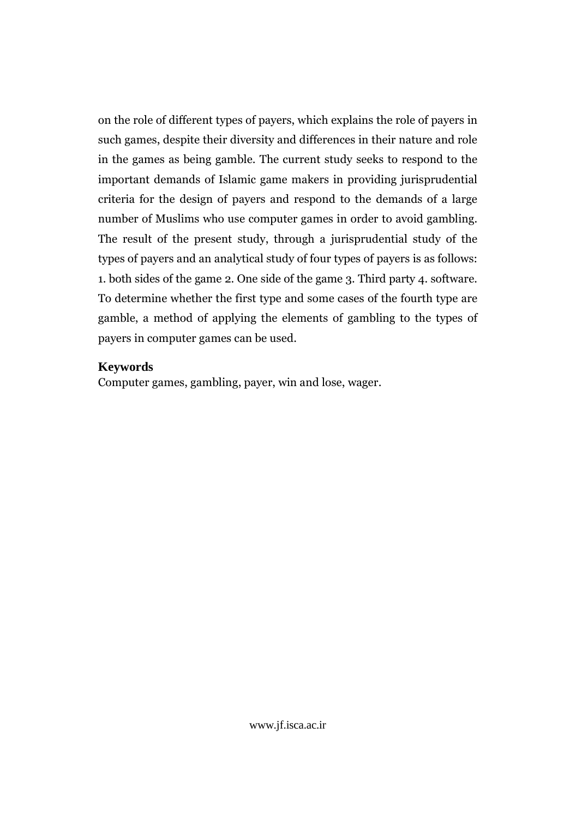on the role of different types of payers, which explains the role of payers in such games, despite their diversity and differences in their nature and role in the games as being gamble. The current study seeks to respond to the important demands of Islamic game makers in providing jurisprudential criteria for the design of payers and respond to the demands of a large number of Muslims who use computer games in order to avoid gambling. The result of the present study, through a jurisprudential study of the types of payers and an analytical study of four types of payers is as follows: 1. both sides of the game 2. One side of the game 3. Third party 4. software. To determine whether the first type and some cases of the fourth type are gamble, a method of applying the elements of gambling to the types of payers in computer games can be used.

#### **Keywords**

Computer games, gambling, payer, win and lose, wager.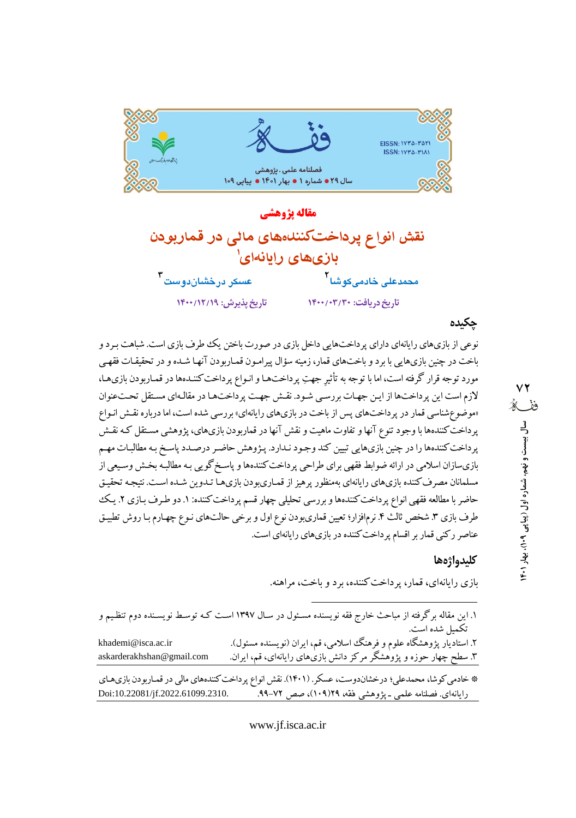

مقاله يژوهشي نقش انواع يرداختكنندامهاى مائي در قماربودن بازیهای رایانهای محمدعلی خادمیکوشا<sup>۲</sup> عسکر درخشان دو ست ۳ تاریخ پذیرش: ١٣٠٠/١٢/١٩ تاریخ دریافت: ١۴٠٠/٠٣/٢٠٠

# چکیده

نوعی از بازیهای رایانهای دارای پرداختهایی داخل بازی در صورت باختن یک ططرف بازی است. شباهت بـر د و باخت در چنین بازیهایی با برد و باختهای قمار، زمینه سؤال پیرامـون قمـاربودن آنهـا شـده و در تحقیقـات فقهـی مورد توجه قرار گرفته است، اما با توجه به تأثیر جهتِ پرداختها و انـواع پرداخت کننـدهها در قمـاربودن بازيهـا، لازم است این پرداختها از این جهات بررسی شود. نقش جهت پرداختها در مقالهای مستقل تحت عنوان «موضوع شناسی قمار در پرداختهای پس از باخت در بازیهای رایانهای» بررسی شده است، اما درباره نقش انـواع پرداخت کنندهها با وجود تنوع آنها و تفاوت ماهیت و نقش آنها در قماربودن بازیهای، پژوهشی مستقل کـه نقـش پرداخت کنندهها را در چنین بازیهایی تبیین کند وجود نـدارد. پـژوهش حاضـر درصـدد پاسـخ بـه مطالبـات مهـم بازیسازان اسلامی در ارائه ضوابط فقهی برای طراحی پرداخت کنندهها و پاسخ گویی بـه مطالبـه بخـش وسـیعی از مسلمانان مصرف کننده بازیهای رایانهای بهمنظور پرهیز از قمـاریبودن بازیهـا تـدوین شـده اسـت. نتیجـه تحقیـق حاضر با مطالعه فقهی انواع پرداخت کنندهها و بررسی تحلیلی چهار قسم پرداخت کننده: ۱. دو طرف بـازی ۲. یـک طرف بازی ۳. شخص ثالث ۴. نرمافزار؛ تعیین قماریبودن نوع اول و برخی حالتهای نـوع چهـارم بـا روش تطبیـق عناصر رکنی قمار بر اقسام پرداخت کننده در بازیهای رایانهای است.

### كليدواژهها

بازی رایانهای، قمار، پرداخت کننده، برد و باخت، مراهنه.

| ۱. این مقاله برگرفته از مباحث خارج فقه نویسنده مسـئول در سـال ۱۳۹۷ اسـت کـه توسـط نویسـنده دوم تنظـیم و<br>تكميل شده است. |                                                                                                                                                                  |
|---------------------------------------------------------------------------------------------------------------------------|------------------------------------------------------------------------------------------------------------------------------------------------------------------|
| khademi@isca.ac.ir<br>askarderakhshan@gmail.com                                                                           | ۲. استادیار پژوهشگاه علوم و فرهنگ اسلامی، قم، ایران (نویسنده مسئول).<br>۳. سطح چهار حوزه و پژوهشگر مرکز دانش بازیهای رایانهای، قم، ایران.                        |
| Doi:10.22081/jf.2022.61099.2310.                                                                                          | * خادمی کوشا، محمدعلی؛ درخشاندوست، عسکر. (۱۴۰۱). نقش انواع پرداخت کنندههای مالی در قمـاربودن بازی.های<br>رایانهای. فصلنامه علمی ـ پژوهشی فقه، ۱۹(۱۰۹)، صص ۷۲–۹۹. |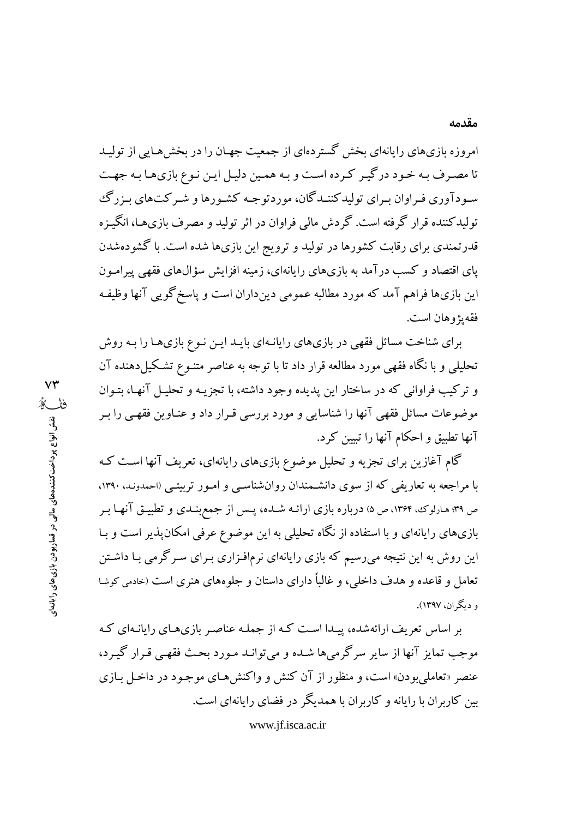امروزه بازی های رایانهای بخش گستر دهای از جمعت جهبان را در بخش هیایی از تولید تا مصرف بـه خـود درگيـر كـرده اسـت و بـه همـين دليـل ايـن نـوع بازي١هـا بـه جهـت سـودآوري فـراوان بـراي توليدکننــدگان، موردتوجـه کشـورها و شـرکت1عاي بـزرگ تولیدکننده قرار گرفته است. گردش مالی فراوان در اثر تولید و مصرف بازیهـا، انگیـزه قدرتمندی برای رقابت کشورها در تولید و ترویج این بازیها شده است. با گشودهشدن یای اقتصاد و کسب درآمد به بازیهای رایانهای، زمینه افزایش سؤالهای فقهی پیرامـون این بازیها فراهم آمد که مورد مطالبه عمومی دینداران است و پاسخ گویی آنها وظیفه فقه بژوهان است.

برای شناخت مسائل فقهی در بازیهای رایانـهای بایـد ایـن نـوع بازیها را بـه روش تحلیلی و با نگاه فقهی مورد مطالعه قرار داد تا با توجه به عناصر متنـوع تشـکیل(دهنده آن و ترکیب فراوانی که در ساختار این یدیده وجود داشته، با تجزیـه و تحلیـل آنهـا، بتـوان موضوعات مسائل فقهي آنها را شناسايي و مورد بررسي قـرار داد و عنـاوين فقهـي را بـر آنها تطبيق و احكام آنها را تبيين كرد.

گام آغازین برای تجزیه و تحلیل موضوع بازیهای رایانهای، تعریف آنها است ک با مراجعه به تعاریفی که از سوی دانشـمندان روانشناسـی و امـور تربیتـی (احمدونـد. ۱۳۹۰، ص ۳۹؛ هـارلوک، ۱۳۶۴، ص ۵) درباره بازی ارائـه شــده، پـس از جمع بنــدی و تطبیــق آنهــا بــر بازیهای رایانهای و با استفاده از نگاه تحلیلی به این موضوع عرفی امکانپذیر است و بـا این روش به این نتیجه می(سیم که بازی رایانهای نرمافـزاری بـرای سـرگرمی بـا داشـتن تعامل و قاعده و هدف داخلی، و غالباً دارای داستان و جلوههای هنری است (خادمی کوشا و دیگران، ۱۳۹۷).

بر اساس تعریف ارائهشده، پیـدا اسـت کـه از جملـه عناصـر بازیهـای رایانـهای کـه موجب تمایز آنها از سایر سرگرم ها شده و می توانید میورد بحث فقهبی قبرار گیبرد، عنصر «تعاملي بودن» است، و منظور از آن كنش و واكنش هـاي موجـود در داخـل بـازي بین کاربران با رایانه و کاربران با همدیگر در فضای رایانهای است.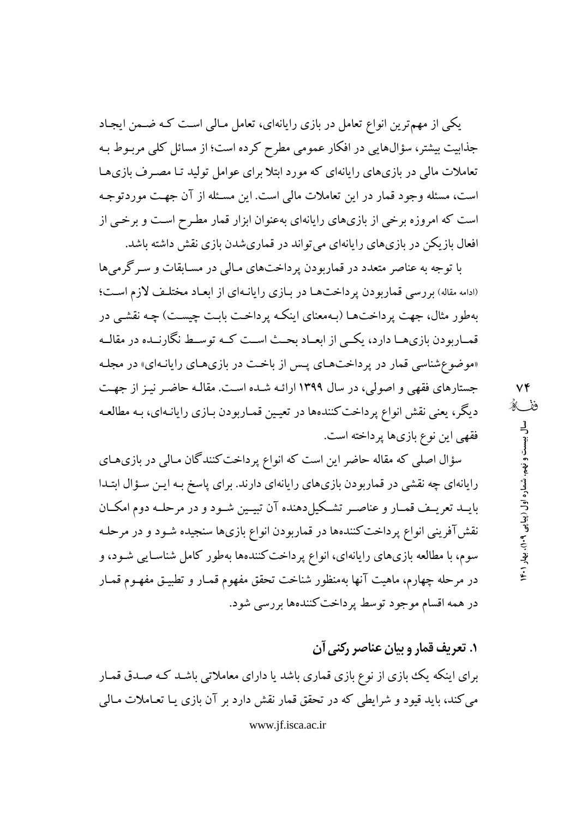یکی از مهمترین انواع تعامل در بازی رایانهای، تعامل مـالی اسـت کـه ضـمن ایجـاد جذابیت بیشتر، سؤال@ایی در افکار عمومی مطرح کرده است؛ از مسائل کلبی مربـوط بـه تعاملات مالی در بازیهای رایانهای که مورد ابتلا برای عوامل تولید تـا مصـرف بازیهـا است، مسئله وجود قمار در این تعاملات مالی است. این مسئله از آن جهت موردتوجه است که امروزه برخی از بازیهای رایانهای بهعنوان ابزار قمار مطـرح اسـت و برخـی از افعال بازیکن در بازیهای رایانهای می تواند در قماریشدن بازی نقش داشته باشد.

با توجه به عناصر متعدد در قماربودن پرداختهای مـالی در مسـابقات و سـرگرمیها (ادامه مقاله) بررسی قماربودن پرداختها در بازی رایانهای از ابعاد مختلف لازم است؛ بهطور مثال، جهت پرداختهـا (بـهمعناي اينكـه پرداخـت بابـت چيسـت) چـه نقشـي در قمـاربودن بازيهـا دارد، يكـبي از ابعــاد بحــث اســت كــه توسـط نگارنــده در مقالــه «موضوع شناسی قمار در پرداختهای پس از باخت در بازیهای رایانهای» در مجله جستارهای فقهی و اصولی، در سال ۱۳۹۹ ارائـه شـده اسـت. مقالـه حاضـر نيـز از جهـت دیگر، یعنی نقش انواع پرداخت کنندهها در تعیین قمـاربودن بـازی رایانـهای، بـه مطالعـه فقهي اين نوع بازيها پرداخته است.

سؤال اصلی که مقاله حاضر این است که انواع پرداخت کنندگان مـالی در بازیهـای رایانهای چه نقشی در قماربودن بازیهای رایانهای دارند. برای پاسخ بـه ایـن سـؤال ابتـدا بایــد تعریــف قمــار و عناصــر تشــکیلِ(دهنده آن تبیــین شــود و در مرحلــه دوم امکــان نقش آفرینی انواع پرداخت کنندهها در قماربودن انواع بازیها سنجیده شـود و در مرحلـه سوم، با مطالعه بازیهای رایانهای، انواع پرداخت کنندهها بهطور کامل شناسـایی شـود، و در مرحله چهارم، ماهیت آنها بهمنظور شناخت تحقق مفهوم قمـار و تطبیـق مفهـوم قمـار در همه اقسام موجود توسط پرداخت کنندهها بررسی شود.

# **۱. تعریف قمار و بیان عناصر رکنی آن**

برای اینکه یک بازی از نوع بازی قماری باشد یا دارای معاملاتی باشـد کـه صـدق قمـار می کند، باید قیود و شرایطی که در تحقق قمار نقش دارد بر آن بازی یـا تعـاملات مـالی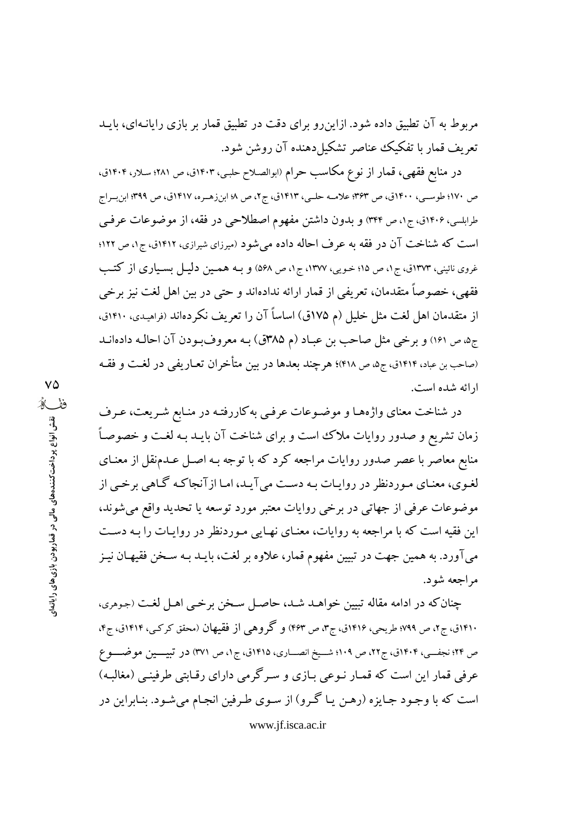مربوط به آن تطبیق داده شود. ازاین رو برای دقت در تطبیق قمار بر بازی رایانـهای، بایـد تعريف قمار با تفكيك عناصر تشكيل دهنده آن روشن شود.

در منابع فقهی، قمار از نوع مکاسب حرام (ابوالصلاح حلبی، ۱۴۰۳ق، ص ۲۸۱؛ سلار، ۱۴۰۴ق، ص ١٧٠؛ طوســي، ١۴٠٠ق، ص ٣۶٣؛ علامــه حلــي، ١۴١٣ق، ج٢، ص ١٨ ابن(هــره، ١۴١٧ق، ص ٣٩٩؛ ابن بــراج طرابلسي، ۱۴۰۶ق، ج۱، ص ۳۴۴) و بدون داشتن مفهوم اصطلاحی در فقه، از موضوعات عرفیي است که شناخت آن در فقه به عرف احاله داده می شود (میرزای شیرازی، ۱۴۱۲ق، ج۱، ص ۱۲۲؛ غروی نائینی، ۱۳۷۳ق، ج۱، ص ۱۵؛ خـویی، ۱۳۷۷، ج۱، ص ۵۶۸) و بـه همـین دلیـل بسـیاری از کتـب فقهی، خصوصاً متقدمان، تعریفی از قمار ارائه ندادهاند و حتی در بین اهل لغت نیز برخی از متقدمان اهل لغت مثل خلیل (م ۱۷۵ق) اساساً آن را تعریف نکردهاند (فراهیدی، ۱۴۱۰ق، ج۵، ص ۱۶۱) و برخی مثل صاحب بن عباد (م ۳۸۵ق) بـه معروفبودن آن احالـه دادهانـد (صاحب بن عباد، ۱۴۱۴ق، ج۵، ص ۴۱۸)؛ هرچند بعدها در بین متأخران تعـاریفی در لغـت و فقـه ار ائه شده است.

در شناخت معنای واژههـا و موضـوعات عرفـی به کاررفتـه در منـابع شـريعت، عـرف زمان تشریع و صدور روایات ملاک است و برای شناخت آن بایـد بـه لغـت و خصوصـاً منابع معاصر با عصر صدور روایات مراجعه کرد که با توجه بـه اصـل عـدمنقل از معنـای لغوي، معنـاي مـوردنظر در روايـات بـه دسـت مي آيـد، امـا از آنجاكـه گـاهي برخـي از موضوعات عرفي از جهاتي در برخي روايات معتبر مورد توسعه يا تحديد واقع مي شوند، این فقیه است که با مراجعه به روایات، معنـای نهـایی مـوردنظر در روایـات را بـه دسـت می آورد. به همین جهت در تبیین مفهوم قمار، علاوه بر لغت، بایـد بـه سـخن فقیهـان نیـز مراحعه شود.

چنان که در ادامه مقاله تبیین خواهـد شـد، حاصـل سـخن برخـی اهـل لغـت (جوهری، ۱۴۱۰ق، ج۲، ص ۷۹۹؛ طریحی، ۱۴۱۶ق، ج۳، ص ۴۶۳) و گحروهی از فقیهان (محقق کرکے، ۱۴۱۴ق، ج۴، ص ٢۴؛ نجفسی، ۱۴۰۴ق، ج۲۲، ص ۱۰۹؛ شــیخ انصـــاری، ۱۴۱۵ق، ج۱، ص ٣٧١) در تبیـــین موضـــوع عرفی قمار این است که قمـار نـوعی بـازی و سـرگرمی دارای رقـابتی طرفینـی (مغالبـه) است که با وجود جـايزه (رهـن يـا گـرو) از سـوى طـرفين انجـام مى شـود. بنـابراين در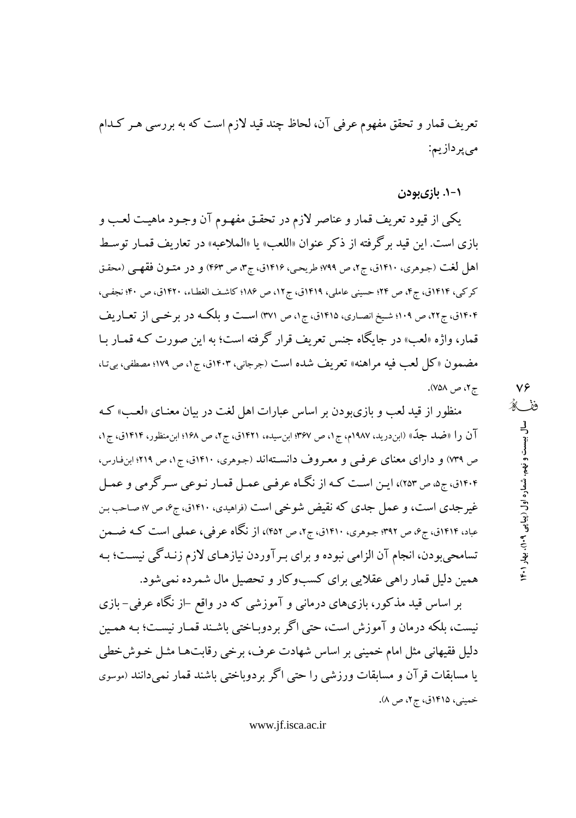تعریف قمار و تحقق مفهوم عرفی آن، لحاظ چند قید لازم است که به بررسی هـر کـدام می پردازیم:

۱–۱. بازیبودن

يكي از قيود تعريف قمار و عناصر لازم در تحقـق مفهـوم آن وجـود ماهيـت لعـب و بازي است. اين قيد برگرفته از ذكر عنوان «اللعب» يا «الملاعبه» در تعاريف قمـار توسـط اهل لغت (جوهري، ١٤١٠ق، ج٢، ص ٧٩٩؛ طريحي، ١٤١۶ق، ج٣، ص ٤٣٣) و در متـون فقهـي (محقـق كركي، ١٤١٣ق، ج۴، ص ٢٤؛ حسيني عاملي، ١٤١٩ق، ج١٢، ص ١٨۶؛ كاشف الغطاء، ١٤٢٠ق، ص ۴٠؛ نجفي، ۴۰۴ق، ج۲۲، ص ۱۰۹؛ شیخ انصاری، ۱۴۱۵ق، ج۱، ص ۳۷۱) است و بلکـه در بر خـبي از تعــاريف قمار، واژه «لعب» در جایگاه جنس تعریف قرار گرفته است؛ به این صورت کـه قمـار بـا مضمون «کل لعب فيه مراهنه» تعريف شده است (جرجاني، ۱۴۰۳ق، ج۱، ص ۱۷۹؛ مصطفى، بي تـا، ج ۲، ص ۷۵۸).

منظور از قید لعب و بازیبودن بر اساس عبارات اهل لغت در بیان معنـای «لعـب» کـه آن را «ضلد جلّه» (ابن درید، ۱۹۸۷م، ج۱، ص ۳۶۷؛ ابن سیده، ۱۴۲۱ق، ج۲، ص ۱۶۸؛ ابن منظور، ۱۴۱۴ق، ج۱، ص ۷۳۹) و دارای معنای عرفی و معروف دانستهاند (جوهری، ۱۴۱۰ق، ج۱، ص ۲۱۹؛ ابنفارس، ۱۴۰۴ق، ج۵، ص ۲۵۳)، ایـن اسـت کـه از نگـاه عرفـی عمـل قمـار نـوعی سـر گرمی و عمـل غیرجدی است، و عمل جدی که نقیض شوخی است (فراهیدی، ۱۴۱۰ق، ج۶، ص ۷: صاحب بن عباد، ۱۴۱۴ق، ج۶، ص ۳۹۲؛ جوهري، ۱۴۱۰ق، ج۲، ص ۴۵۲)، از نگاه عرفي، عملي است كـه ضــمن تسامحی بودن، انجام آن الزامی نبوده و برای بـر آوردن نیازهـای لازم زنـدگی نیسـت؛ بـه همین دلیل قمار راهی عقلایی برای کسبوکار و تحصیل مال شمرده نمی شود.

بر اساس قید مذکور، بازیهای درمانبی و آموزشی که در واقع –از نگاه عرفی– بازی نیست، بلکه درمان و آموزش است، حتی اگر بردوبـاختی باشـند قمـار نیسـت؛ بـه همـین دلیل فقیهانی مثل امام خمینی بر اساس شهادت عرف، برخی رقابتها مثـل خـوشخطی یا مسابقات قر آن و مسابقات ورزشی را حتبی اگر بردوباختبی باشند قمار نمیدانند (موسوی خمینی، ۱۴۱۵ق، ج۲، ص ۸).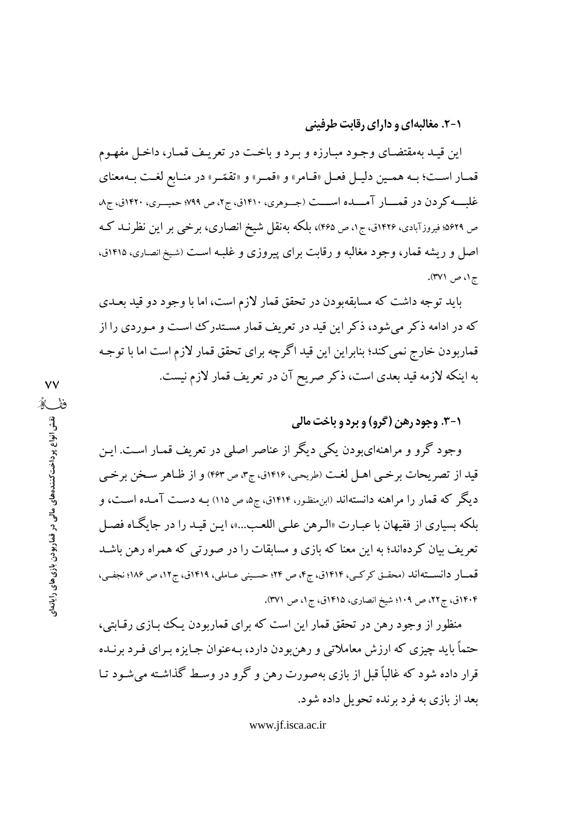۰-۲. مغالبهای و دارای رقابت طرفینی

این قیـد بهمقتضـای وجـود مبـارزه و بـرد و باخـت در تعریـف قمـار، داخـل مفهـوم قمـار اسـت؛ بـه همـين دليـل فعـل «قـامر» و «قمـر» و «تقمّـر» در منـابع لغـت بـهمعناي غلب کردن در قمسار آمسده اسست (جسوهري، ۱۴۱۰ق، ج۲، ص ۷۹۹؛ حميسري، ۱۴۲۰ق، ج۸ ص ۵۶۲۹؛ فیروزآبادی، ۱۴۲۶ق، ج۱، ص ۴۶۵)، بلکه بهنقل شیخ انصاری، برخبی بر این نظرنــد کــه اصل و ریشه قمار، وجود مغالبه و رقابت برای پیروزی و غلبـه اسـت (شیخ انصـاری، ۱۴۱۵ق، ج۱، ص ۳۷۱).

باید توجه داشت که مسابقهبودن در تحقق قمار لازم است، اما با وجود دو قید بعـدی که در ادامه ذکر می شود، ذکر این قید در تعریف قمار مستدرک است و مـوردی را از قماربودن خارج نمی کند؛ بنابراین این قید اگرچه برای تحقق قمار لازم است اما با توجـه به اينكه لازمه قيد بعدي است، ذكر صريح آن در تعريف قمار لازم نيست.

## ۰-۳. وجود رهن (گرو) و برد و باخت مالي

وجود گرو و مراهنهایبودن یکی دیگر از عناصر اصلی در تعریف قمـار اسـت. ایـن قيد از تصريحات برخيي اهـل لغت (طريحي، ١٤١۶ق، ج٣، ص ٤۶٣) و از ظـاهر سـخن برخـي دیگر که قمار را مراهنه دانستهاند (این منظور، ۱۴۱۴ق، ج۵، ص ۱۱۵) بـه دسـت آمـده اسـت، و بلكه بسياري از فقيهان با عبـارت «الـرهن علـي اللعـب...»، ايـن قيـد را در جايگـاه فصـل تعریف بیان کردهاند؛ به این معنا که بازی و مسابقات را در صورتی که همراه رهن باشـد قمـار دانسـتهاند (محقـق كركـي، ١٤١۴ق، ج۴، ص ٢٤؛ حسـيني عـاملي، ١٢١٩ق، ج١٢، ص ١٨۶؛ نجفـي، ۱۴۰۴ق، ج۲۲، ص ۱۰۹؛ شیخ انصاری، ۱۴۱۵ق، ج۱، ص ۳۷۱).

منظور از وجود رهن در تحقق قمار این است که برای قماربودن یک بازی رقابتی، حتماً باید چیزی که ارزش معاملاتی و رهنبودن دارد، بـهعنوان جـایزه بـرای فـرد برنـده قرار داده شود که غالباً قبل از بازی بهصورت رهن و گرو در وسط گذاشته می شـود تـا بعد از بازی به فرد برنده تحویل داده شود.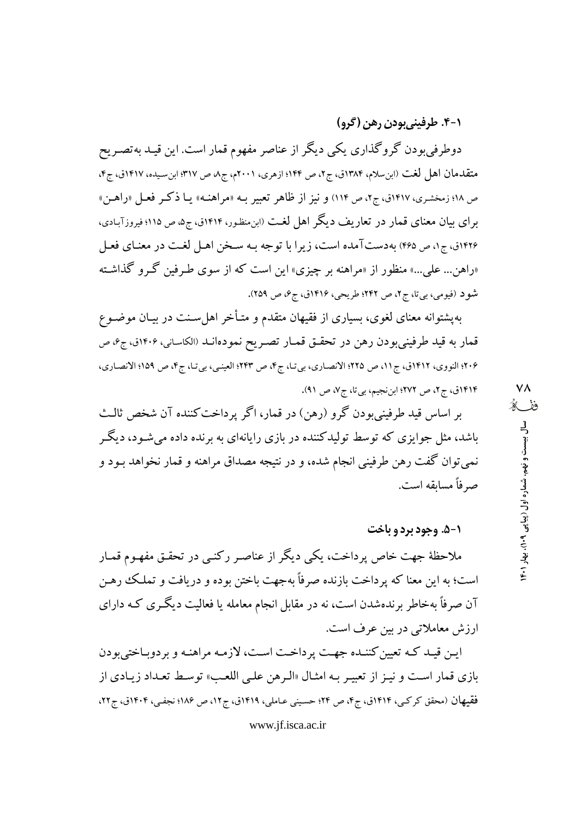### ۰-۴. طرفينيبودن رهن (گرو)

دوطرفی بودن گروگذاری یکی دیگر از عناصر مفهوم قمار است. این قیـد بهتصـریح متقدمان اهل لغت (ابنِ سلام، ١٣٨۴ق، ج٢، ص ١۴۴؛ ازهري، ٢٠٠١م، ج٨، ص ٣١٧؛ ابنِ سيده، ١۴١٧ق، ج۴، ص ١٨؛ زمخشري، ١٤١٧ق، ج٢، ص ١١۴) و نيز از ظاهر تعبير بـه «مراهنـه» يـا ذكـر فعـل «راهـن» برای بیان معنای قمار در تعاریف دیگر اهل لغت (ابن منظور، ۱۴۱۴ق، ج۵، ص ۱۱۵؛ فیروزآبـادی، ۱۴۲۶ق، ج۱، ص ۴۶۵) به دستآمده است، زیرا با توجه بـه سـخن اهـل لغـت در معنـای فعـل «راهن... علی...» منظور از «مراهنه بر چیزی» این است که از سوی طـرفین گـرو گذاشـته شو د (فیومی، بی تا، ج۲، ص ۲۴۲؛ طریحی، ۱۴۱۶ق، ج۶، ص ۲۵۹).

بهپشتوانه معنای لغوی، بسیاری از فقیهان متقدم و متـأخر اهل سـنت در بیـان موضـوع قمار به قید طرفینیبودن رهن در تحقـق قمـار تصـریح نمودهانـد (الکاسـانی، ۱۴۰۶ق، ج۶، ص ۲۰۶؛ النووي، ۱۴۱۲ق، ج۱۱، ص ۲۲۵؛ الانصـاري، بي تـا، ج۴، ص ۲۴۳؛ العينـي، بي تـا، ج۴، ص ۱۵۹؛ الانصـاري، ۱۴۱۴ق، ج۲، ص ۲۷۲؛ ابننجیم، بی تا، ج۷، ص ۹۱).

بر اساس قيد طرفيني بودن گرو (رهن) در قمار، اگر پرداخت كننده آن شخص ثالث باشد، مثل جوایزی که توسط تولیدکننده در بازی رایانهای به برنده داده می شـود، دیگـر نمیتوان گفت رهن طرفینی انجام شده، و در نتیجه مصداق مراهنه و قمار نخواهد بـود و صر فأ مسابقه است.

#### **۱-۵. وجود برد و باخت**

ملاحظهٔ جهت خاص پرداخت، یکی دیگر از عناصر رکنـی در تحقـق مفهـوم قمـار است؛ به این معنا که پرداخت بازنده صرفاً بهجهت باختن بوده و دریافت و تملک رهـن آن صرفاً بهخاطر برندهشدن است، نه در مقابل انجام معامله یا فعالیت دیگری کـه دارای ارزش معاملاتی در بین عرف است.

ایـن قیـد کـه تعیین کننـده جهـت پرداخـت اسـت، لازمـه مراهنـه و بردوبـاختیبودن بازي قمار است و نيـز از تعبيـر بـه امثـال «الـرهن علـي اللعـب» توسـط تعـداد زيـادي از فقيهان (محقق كركبي، ١۴١۴ق، ج۴، ص ٢۴؛ حسيني عـاملي، ١٩١٩ق، ج١٢، ص ١٨۶؛ نجفي، ١٩٠۴ق، ج٢٢،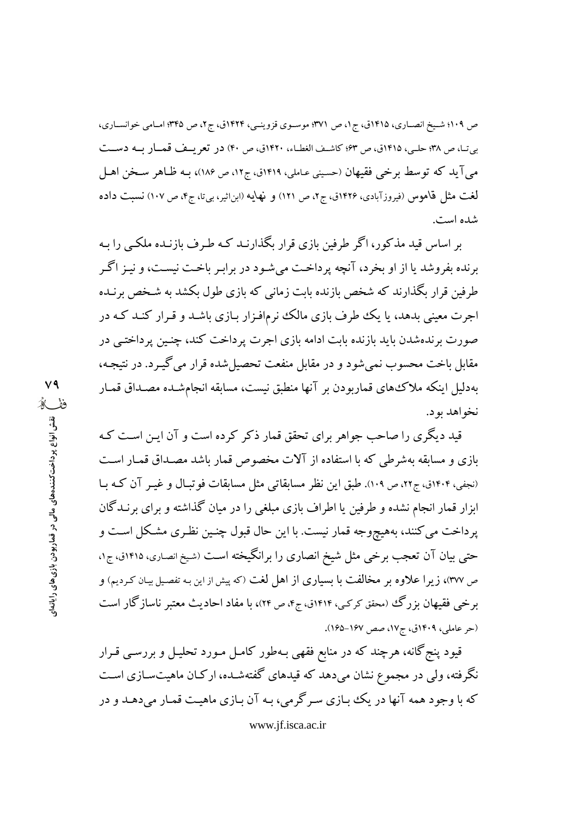ص ۱۰۹؛ شیخ انصـاری، ۱۴۱۵ق، ج ۱، ص ۳۷۱؛ موسـوی قزوینـی، ۱۴۲۴ق، ج۲، ص ۴۴۵؛ امـامی خوانسـاری، بي تـا، ص ٣٨؛ حلـي، ١٤١٥ق، ص ۶٣؛ كاشـف الغطـاء، ١٤٢٠ق، ص ۴٠) در تعريـف قمــار بــه دســت می آید که توسط برخی فقیهان (حسینی عـاملی، ۱۴۱۹ق، ج۱۲، ص ۱۸۶)، بـه ظـاهر سـخن اهـل لغت مثل قاموس (فیروزآبادی، ۱۴۲۶ق، ج۲، ص ۱۲۱) و نهایه (ابن|ثیر، بیتا، ج۴، ص ۱۰۷) نسبت داده شده است.

بر اساس قید مذکور، اگر طرفین بازی قرار بگذارنـد کـه طـرف بازنـده ملکـبی را بـه برنده بفروشد یا از او بخرد، آنچه پرداخت می شـود در برابـر باخـت نیسـت، و نیـز اگـر طرفین قرار بگذارند که شخص بازنده بابت زمانی که بازی طول بکشد به شـخص برنـده اجرت معینی بدهد، یا یک طرف بازی مالک نرمافـزار بـازی باشـد و قـرار کنـد کـه در صورت برندهشدن باید بازنده بابت ادامه بازی اجرت پرداخت کند، چنـین پرداختـی در مقابل باخت محسوب نمی شود و در مقابل منفعت تحصیل شده قرار می گیـرد. در نتیجـه، بهدلیل اینکه ملاک های قماربودن بر آنها منطبق نیست، مسابقه انجامشـده مصـداق قمـار نخواهد بود.

قید دیگری را صاحب جواهر برای تحقق قمار ذکر کرده است و آن ایـن اسـت کـه بازی و مسابقه بهشرطی که با استفاده از آلات مخصوص قمار باشد مصـداق قمـار اسـت (نجفی، ۱۴۰۴ق، ج۲۲، ص ۱۰۹). طبق این نظر مسابقاتی مثل مسابقات فوتبال و غیـر آن کـه بـا ابزار قمار انجام نشده و طرفین یا اطراف بازی مبلغی را در میان گذاشته و برای برنـدگان پرداخت می کنند، بههیچوجه قمار نیست. با این حال قبول چنـین نظـری مشـکل اسـت و حتبی بیان آن تعجب برخی مثل شیخ انصاری را برانگیخته است (شیخ انصاری، ۱۴۱۵ق، ج۱، ص ٣٧٧)، زيرا علاوه بر مخالفت با بسياري از اهل لغت (كه پيش از اين بـه تفصيل بيـان كـرديم) و برخی فقیهان بزرگ (محقق کرکبی، ۱۴۱۴ق، ج۴، ص ۲۴)، با مفاد احادیث معتبر ناسازگار است (حر عاملي، ١٤٠٩ق، ج١٧، صص ١٤٧-١٤٥).

قیود پنج گانه، هرچند که در منابع فقهی بـهطور کامـل مـورد تحليـل و بررســی قــرار نگرفته، ولی در مجموع نشان میدهد که قیدهای گفتهشـده، ارکـان ماهیتـسـازی اسـت که با وجود همه آنها در یک بـازی سـر گرمی، بـه آن بـازی ماهیـت قمـار می دهـد و در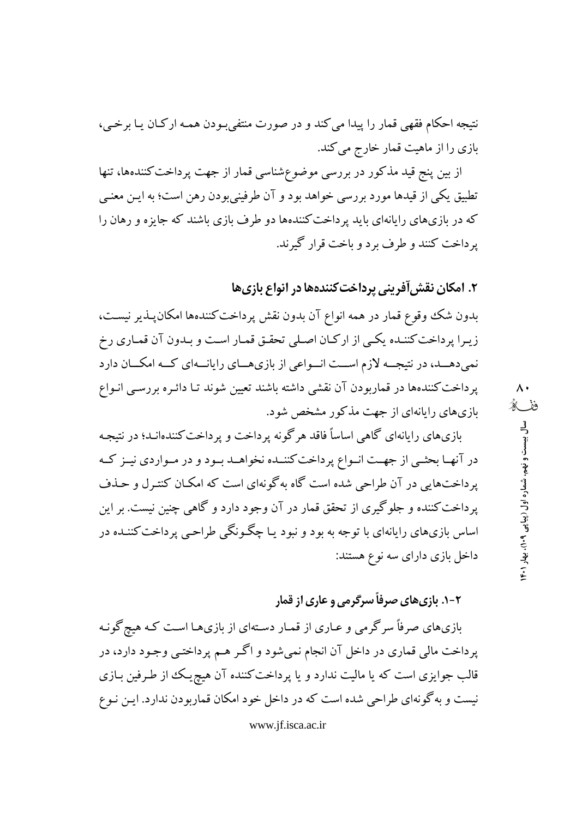نتيجه احکام فقهي قمار را پيدا مي کند و در صورت منتفيبودن همـه ارکـان يـا برخـي، بازی را از ماهیت قمار خارج می کند.

از بین پنج قید مذکور در بررسی موضوعشناسی قمار از جهت پرداخت کنندهها، تنها تطبیق یکی از قیدها مورد بررسی خواهد بود و آن طرفینی بودن رهن است؛ به ایـن معنـی که در بازیهای رایانهای باید پرداخت کنندهها دو طرف بازی باشند که جایزه و رهان را يرداخت كنند و طرف برد و پاخت قرار گيرند.

# ۲. امکان نقش آفرینی پرداخت کنندهها در انواع بازیها

بدون شک وقوع قمار در همه انواع آن بدون نقش پرداخت کنندهها امکان پـذیر نیسـت، زیـرا پرداخت کننـده یکـی از ارکـان اصـلی تحقـق قمـار اسـت و بـدون آن قمـاری رخ نمی دهــد، در نتیجــه لازم اســت انــواعی از بازیهــای رایانــهای کــه امکــان دارد پرداخت کنندهها در قماربودن آن نقشی داشته باشند تعیین شوند تـا دائـره بررسـی انـواع بازیهای رایانهای از جهت مذکور مشخص شود.

بازیهای رایانهای گاهی اساساً فاقد هرگونه پرداخت و پرداخت کنندهانـد؛ در نتیجـه در آنهـا بحثـي از جهـت انـواع پرداخت كننـده نخواهـد بـود و در مـواردي نيـز كـه پرداختهایی در آن طراحی شده است گاه بهگونهای است که امکـان کنتـرل و حـذف یرداخت کننده و جلوگیری از تحقق قمار در آن وجود دارد و گاهی چنین نیست. بر این اساس بازیهای رایانهای با توجه به بود و نبود یـا چگـونگـی طراحـی پرداخت کننــده در داخل بازی دارای سه نوع هستند:

# ۲-۱. بازیهای صرفاً سرگرمی و عاری از قمار

بازیهای صرفاً سرگرمی و عـاری از قمـار دسـتهای از بازیهـا اسـت کـه هیچگونـه پرداخت مالي قماري در داخل آن انجام نمي شود و اگر هـم پرداختـي وجـود دارد، در قالب جوایزی است که یا مالیت ندارد و یا پرداخت کننده آن هیچ یک از طرفین بـازی نیست و به گونهای طراحی شده است که در داخل خود امکان قماربودن ندارد. ایـن نـوع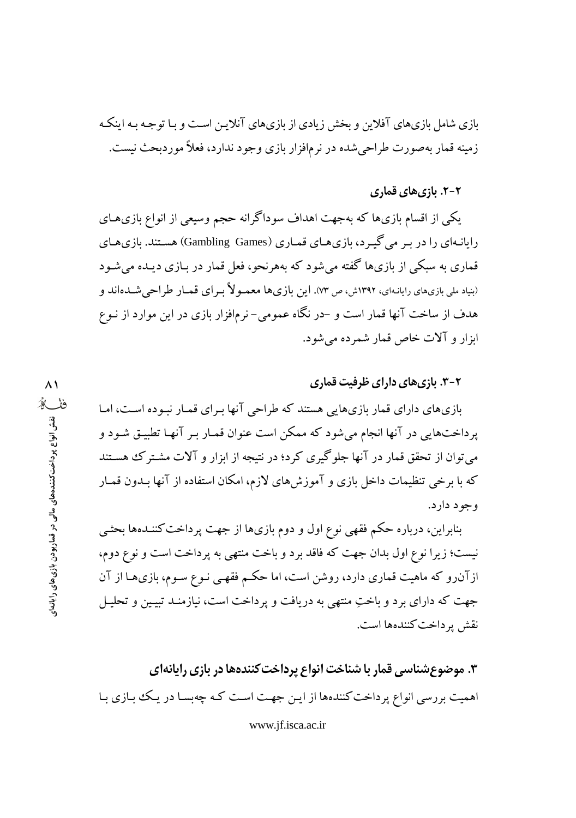بازی شامل بازیهای آفلاین و بخش زیادی از بازیهای آنلایـن اسـت و بـا توجـه بـه اینکـه زمینه قمار بهصورت طراحیشده در نرمافزار بازی وجود ندارد، فعلاً موردبحث نیست.

### ۲–۲. بازیهای قماری

یکی از اقسام بازیها که بهجهت اهداف سوداگرانه حجم وسیعی از انواع بازیهـای رایانـهای را در بـر می گیـرد، بازیهـای قمـاری (Gambling Games) هسـتند. بازیهـای قماری به سبکی از بازیها گفته می شود که بههرنحو، فعل قمار در بـازی دیـده می شـود (بنیاد ملی بازیهای رایانـهای، ۱۳۹۲ش، ص ۷۳). این بازیها معمـولاً بـرای قمـار طراحی شــدهاند و هدف از ساخت آنها قمار است و –در نگاه عمومی– نرمافزار بازی در این موارد از نـوع ابزار و آلات خاص قمار شمرده می شود.

**۳-۲. بازی های دارای ظرفیت قماری** 

بازیهای دارای قمار بازیهایی هستند که طراحی آنها بـرای قمـار نبـوده اسـت، امـا یرداختهایی در آنها انجام می شود که ممکن است عنوان قمـار بـر آنهـا تطبیـق شـود و می توان از تحقق قمار در آنها جلوگیری کرد؛ در نتیجه از ابزار و آلات مشترک هستند که با برخی تنظیمات داخل بازی و آموزش های لازم، امکان استفاده از آنها بـدون قمـار و جو د دار د.

بنابراین، درباره حکم فقهی نوع اول و دوم بازیها از جهت پرداخت کننـدهها بحثـی نیست؛ زیرا نوع اول بدان جهت که فاقد برد و باخت منتهی به پرداخت است و نوع دوم، ازآنرو که ماهیت قماری دارد، روشن است، اما حکم فقهبی نـوع سـوم، بازی۱ما از آن جهت که دارای برد و باختِ منتهی به دریافت و پرداخت است، نیازمنـد تبیـین و تحلیـل نقش پر داخت کنندهها است.

۳. موضوع شناسی قمار با شناخت انواع پرداخت کنندهها در بازی رایانهای اهمیت بررسی انواع پرداخت کنندهها از ایـن جهـت اسـت کـه چهبسـا در یـک بـازی بـا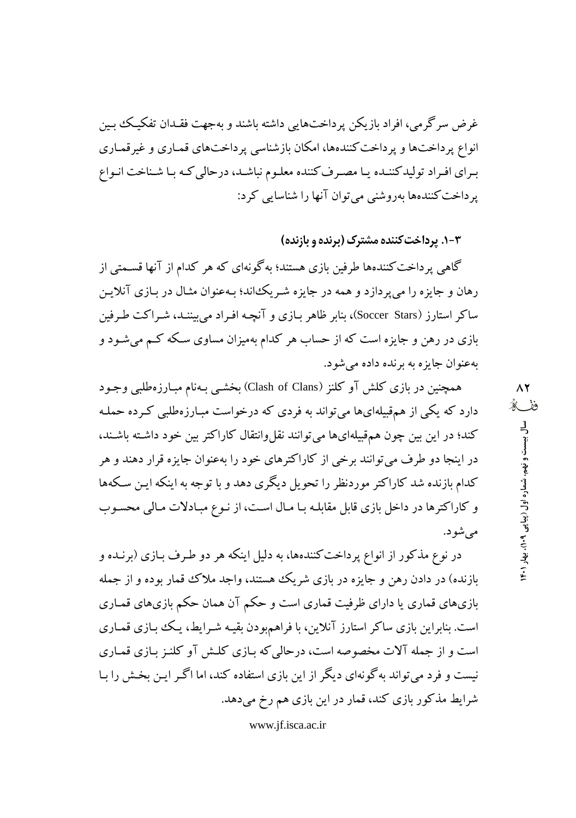غرض سرگرمی، افراد بازیکن پرداختهایی داشته باشند و بهجهت فقـدان تفکیـک بـین انواع پر داختها و پر داخت کنندهها، امکان بازشناسی پر داختهای قمباری و غیر قمباری برای افراد تولیدکننـده یـا مصـرف کننده معلـوم نباشـد، درحالی کـه بـا شـناخت انـواع یر داخت کنندهها بهروشنی می توان آنها را شناسایی کرد:

۰۳- در داخت کننده مشترک (برنده و بازنده)

گاهی پرداخت کنندهها طرفین بازی هستند؛ بهگونهای که هر کدام از آنها قسـمتی از رهان و جایزه را می پردازد و همه در جایزه شـر یک اند؛ بـهعنوان مثـال در بـازی آنلایـن ساکر استارز (Soccer Stars)، بنابر ظاهر بـازی و آنچـه افـراد می بیننــد، شـراکت طـرفین بازی در رهن و جایزه است که از حساب هر کدام بهمیزان مساوی سکه کـم میشـود و به عنوان جايزه به برنده داده مي شود.

همچنین در بازی کلش آو کلنز (Clash of Clans) بخشبی بـهنام مبـارزهطلبی وجـود دارد که یکی از همقبیلهایها میتواند به فردی که درخواست مبـارزهطلبی کـرده حملـه کند؛ در این بین چون همهقبیلهایها میتوانند نقلوانتقال کاراکتر بین خود داشته باشـند، در اینجا دو طرف میتوانند برخی از کاراکترهای خود را بهعنوان جایزه قرار دهند و هر کدام بازنده شد کاراکتر موردنظر را تحویل دیگری دهد و با توجه به اینکه ایـن سـکهها و كاراكترها در داخل بازي قابل مقابلـه بـا مـال اسـت، از نـوع مبـادلات مـالي محسـوب مي شو د.

در نوع مذکور از انواع پرداخت کنندهها، به دلیل اینکه هر دو طـرف بـازی (برنــده و بازنده) در دادن رهن و جایزه در بازی شریک هستند، واجد ملاک قمار بوده و از جمله بازیهای قماری یا دارای ظرفیت قماری است و حکم آن همان حکم بازیهای قمـاری است. بنابراین بازی ساکر استارز آنلاین، با فراهمبودن بقیـه شـرایط، یـک بازی قمـاری است و از جمله آلات مخصوصه است، درحالی که بـازی کلـش آو کلنـز بـازی قمـاری نیست و فرد می تواند به گونهای دیگر از این بازی استفاده کند، اما اگـر ایـن بخـش را بـا شرایط مذکور بازی کند، قمار در این بازی هم رخ میدهد.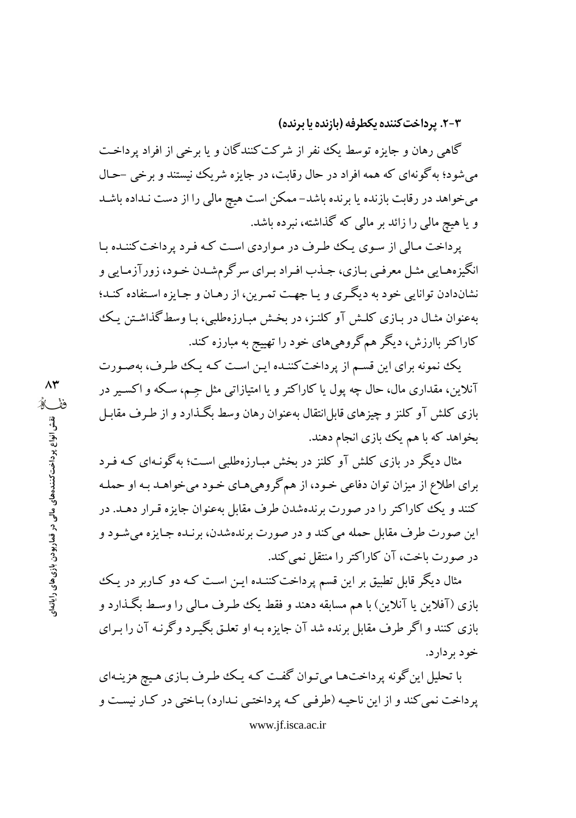۰۳-۲. پرداخت کننده یکطرفه (بازنده یا برنده)

گاهی رهان و جایزه توسط یک نفر از شرکت کنندگان و یا برخی از افراد پرداخت می شود؛ به گونهای که همه افراد در حال رقابت، در جایزه شریک نیستند و برخی –حـال می خواهد در رقابت بازنده یا برنده باشد- ممکن است هیچ مالی را از دست نـداده باشـد و یا هیچ مالی را زائد بر مالی که گذاشته، نبرده باشد.

یرداخت مـالی از سـوی یـک طـرف در مـواردی اسـت کـه فـرد پرداخت کننـده بـا انگیزههـایی مثـل معرفـی بـازی، جـذب افـراد بـرای سر گرمشـدن خـود، زورآزمـایی و نشاندادن توانایی خود به دیگری و یا جهت تمرین، از رهبان و جبایزه استفاده کنید؛ بهعنوان مثـال در بـازی کلـش آو کلنـز، در بخـش مبـارزهطلبی، بـا وسط گذاشـتن يـک کاراکتر باارزش، دیگر همگروهیهای خود را تهییج به مبارزه کند.

یک نمونه برای این قسم از پرداخت کننـده ایـن اسـت کـه یـک طـرف، بهصـورت آنلاین، مقداری مال، حال چه پول یا کاراکتر و یا امتیازاتی مثل جـم، سـکه و اکسـیر در بازی کلش آو کلنز و چیزهای قابل!نتقال بهعنوان رهان وسط بگـذارد و از طـرف مقابـل بخواهد که با هم یک بازی انجام دهند.

مثال دیگر در بازی کلش آو کلنز در بخش مبارزهطلبی است؛ به گونـهای کـه فـرد براي اطلاع از ميزان توان دفاعي خـود، از همگروهي هـاي خـود مي خواهـد بـه او حملـه کنند و یک کاراکتر را در صورت برندهشدن طرف مقابل بهعنوان جایزه قـرار دهـد. در این صورت طرف مقابل حمله می کند و در صورت برندهشدن، برنـده جـایزه میشـود و در صورت باخت، آن کاراکتر را منتقل نمی کند.

مثال دیگر قابل تطبیق بر این قسم پرداخت کننـده ایـن اسـت کـه دو کـاربر در یـک بازی (آفلاین یا آنلاین) با هم مسابقه دهند و فقط یک ططرف مـالی را وسـط بگـذارد و بازی کنند و اگر طرف مقابل برنده شد آن جایزه بـه او تعلـق بگیـرد وگرنـه آن را بـرای خو د پر دار د.

با تحلیل این گونه پرداختها می تـوان گفـت کـه یـک طـرف بـازی هـیچ هزینـهای یر داخت نمی کند و از این ناحیـه (طرفـی کـه پر داختـی نـدارد) بـاختی در کـار نیسـت و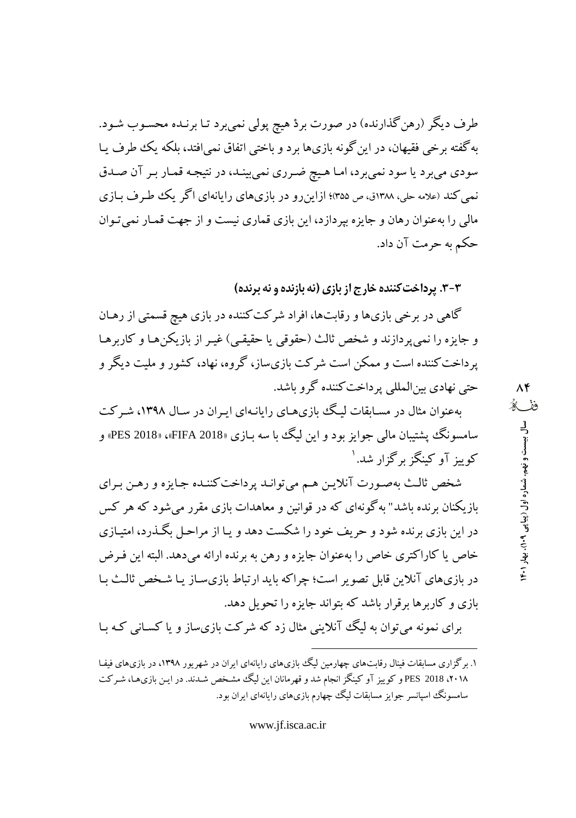طرف دیگر (رهن گذارنده) در صورت بردْ هیچ پولی نمیبرد تـا برنـده محسـوب شـود. به گفته برخی فقیهان، در این گونه بازیها برد و باختی اتفاق نمی افتد، بلکه یک طرف پیا سودي ميبرد يا سود نميبرد، امـا هـيچ ضـرري نمي بينـد، در نتيجـه قمـار بـر آن صـدق نمی کند (علامه حلی، ۱۳۸۸ق، ص ۳۵۵)؛ ازاینرو در بازیهای رایانهای اگر یک طرف بـازی مالی را بهعنوان رهان و جایزه بیردازد، این بازی قماری نیست و از جهت قمـار نمی تـوان حکم به حرمت آن داد.

۳-۳. پرداخت کننده خارج از بازی (نه بازنده و نه برنده)

گاهی در برخی بازیها و رقابتها، افراد شرکت کننده در بازی هیچ قسمتی از رهـان و جايزه را نمي يردازند و شخص ثالث (حقوقي يا حقيقي) غيـر از بازيكن هـا و كاربرهـا پرداخت کننده است و ممکن است شرکت بازیساز، گروه، نهاد، کشور و ملیت دیگر و حتی نهادی بینالمللی پرداخت کننده گرو باشد.

بهعنوان مثال در مسـابقات لیـگ بازی هـای رایانـهای ایـران در سـال ۱۳۹۸، شـرکت سامسونگ پشتبیان مالي جوايز بود و اين ليگ يا سه بازي «FIFA 2018»، «PES 2018» و کوبیز آوکینگز برگزار شد. ۱

شخص ثالث بهصورت آنلايـن هـم مىتوانـد پرداخت كننـده جـايزه و رهـن بـراي بازیکنان برنده باشد" به گونهای که در قوانین و معاهدات بازی مقرر می شود که هر کس در این بازی برنده شود و حریف خود را شکست دهد و پیا از مراحل بگیدرد، امتیازی خاص یا کاراکتری خاص را بهعنوان جایزه و رهن به برنده ارائه میدهد. البته این فـرض در بازیهای آنلاین قابل تصویر است؛ چراکه باید ارتباط بازیسـاز یـا شـخص ثالـث بـا بازی و کاربرها برقرار باشد که بتواند جایزه را تحویل دهد.

برای نمونه می توان به لیگ آنلاینی مثال زد که شرکت بازی ساز و یا کسـانی کـه بـا

۱. برگزاری مسابقات فینال رقابتهای چهارمین لیگ بازیهای رایانهای ابران در شهر بور ۱۳۹۸، در بازیهای فیفا ۲۰۱۸، PES 2018 و کوییز آو کینگز انجام شد و قهرمانان این لیگ مشخص شدند. در ایـن بازیهـا، شـرکت سامسونگ اسپانسر جوایز مسابقات لیگ چهارم بازیهای رایانهای ایران بود.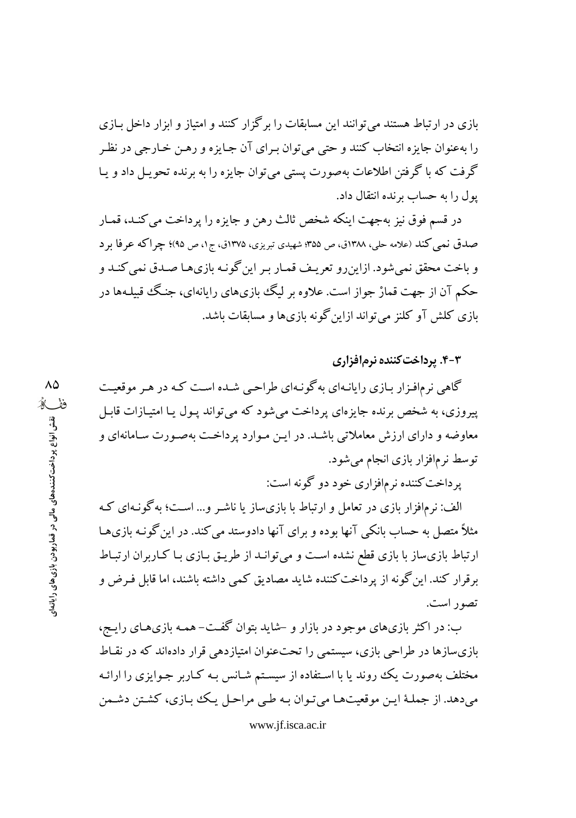بازی در ارتباط هستند می توانند این مسابقات را برگزار کنند و امتیاز و ابزار داخل بـازی را بهعنوان جايزه انتخاب كنند و حتى مى توان بـراي آن جـايزه و رهـن خـارجى در نظـر گرفت که با گرفتن اطلاعات بهصورت پستی می توان جایزه را به برنده تحویـل داد و پـا یول را به حساب برنده انتقال داد.

در قسم فوق نيز بهجهت اينكه شخص ثالث رهن و جايزه را پرداخت مي كنـد، قمـار صدق نمبي کند (علامه حلي، ١٣٨٨ق، ص ٣٥۵؛ شهيدي تبريزي، ١٣٧٥ق، ج١، ص ٩٥)؛ چراکه عرفا بر د و باخت محقق نمی شود. ازاین رو تعریـف قمـار بـر این گونـه بازی۱هـا صـدق نمی کنـد و حکم آن از جهت قمارْ جواز است. علاوه بر لیگ بازیهای رایانهای، جنگ قبیلـهها در بازی کلش آو کلنز می تواند ازاین گونه بازیها و مسابقات باشد.

۴-۳. پرداخت کننده نرم(فزاری

گاهی نرمافـزار بـازی رایانـهای بهگونـهای طراحـبی شـده اسـت کـه در هـر موقعیـت پیروزی، به شخص برنده جایزهای پرداخت می شود که می تواند پـول یـا امتیـازات قابـل معاوضه و دارای ارزش معاملاتی باشد. در این موارد برداخت بهصورت سامانهای و توسط نرمافزار بازی انجام میشود.

پرداخت کننده نرمافزاری خود دو گونه است:

الف: نرمافزار بازی در تعامل و ارتباط با بازیساز یا ناشـر و… اسـت؛ بهگونـهای کـه مثلاً متصل به حساب بانکی آنها بوده و برای آنها دادوستد می کند. در این گونـه بازیهـا ارتباط بازی ساز با بازی قطع نشده است و می توانـد از طریـق بـازی بـا کـاربران ارتبـاط برقرار كند. اين گونه از پرداخت كننده شايد مصاديق كمي داشته باشند، اما قابل فـرض و تصور است.

ب: در اکثر بازیهای موجود در بازار و –شاید بتوان گفت– همـه بازیهـای رایـج، بازیسازها در طراحی بازی، سیستمی را تحتعنوان امتیازدهی قرار دادهاند که در نقـاط مختلف بهصورت یک روند یا با استفاده از سیستم شـانس بـه کـاربر جـوایزی را ارائـه مي دهد. از جملـهٔ ايـن موقعيتهـا مي تـوان بـه طـي مراحـل يـك بـازي، كشـتن دشـمن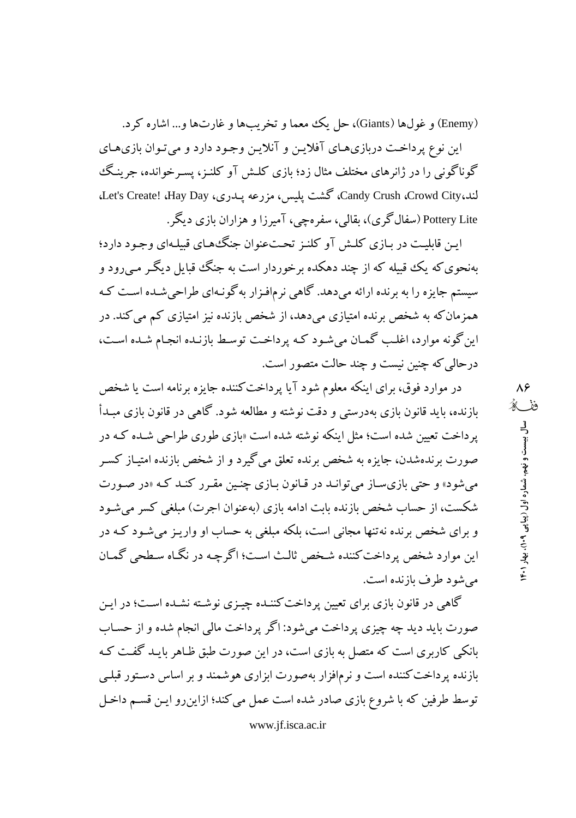(Enemy) و غولها (Giants)، حل يك معما و تخريبها و غارتها و... اشاره كرد. این نوع پرداخت دربازی هـای آفلایـن و آنلایـن وجـود دارد و می تـوان بازی هـای گوناگونی را در ژانرهای مختلف مثال زد؛ پازی کلیش آو کلنیز، پسیرخوانده، جرینگ لند،Candy Crush ،Crowd City، گشت پلیس، مزرعه پیدری، Let's Create! ،Hay Day، Pottery Lite (سفال گري)، بقالي، سفرهچي، آميرزا و هزاران بازي ديگر .

ايـن قابليـت در بـازي كلـش آو كلنـز تحـتعنوان جنگءهاي قبيلـهاي وجـود دارد؛ بهنحوی که یک قبیله که از چند دهکده برخوردار است به جنگ قبایل دیگـر مـبیرود و سیستم جایزه را به برنده ارائه میدهد. گاهی نرمافـزار بهگونـهای طراحیشـده اسـت کـه همزمانکه به شخص برنده امتیازی میدهد، از شخص بازنده نیز امتیازی کم می کند. در این گونه موارد، اغلب گمان می شود کـه پرداخـت توسـط بازنـده انجـام شـده اسـت، درحالي كه چنين نيست و چند حالت متصور است.

در موارد فوق، برای اینکه معلوم شود آیا پرداخت کننده جایزه برنامه است یا شخص بازنده، باید قانون بازی بهدرستی و دقت نوشته و مطالعه شود. گاهی در قانون بازی مبـدأ یر داخت تعیین شده است؛ مثل اینکه نوشته شده است «بازی طوری طراحی شـده کـه در صورت برندهشدن، جایزه به شخص برنده تعلق می گیرد و از شخص بازنده امتیـاز کسـر می شود» و حتی بازی سـاز می توانـد در قـانون بـازی چنـین مقـرر کنـد کـه «در صـورت شکست، از حساب شخص بازنده بابت ادامه بازی (بهعنوان اجرت) مبلغی کسر میشود و برای شخص برنده نه تنها مجانی است، بلکه مبلغی به حساب او واریـز می شـود کـه در این موارد شخص پرداخت کننده شـخص ثالـث اسـت؛ اگر چـه در نگـاه سـطحی گمـان مي شو د طرف يازنده است.

گاهی در قانون بازی برای تعیین پرداخت کننـده چیـزی نوشـته نشـده اسـت؛ در ایـن صورت بايد ديد چه چيزي پر داخت مي شود: اگر پر داخت مالي انجام شده و از حسـاب بانکی کاربری است که متصل به بازی است، در این صورت طبق ظـاهر بایـد گفـت کـه بازنده پرداخت کننده است و نرمافزار بهصورت ابزاری هوشمند و بر اساس دستور قبلم توسط طرفین که با شروع بازی صادر شده است عمل می کند؛ ازاین رو ایـن قسـم داخـل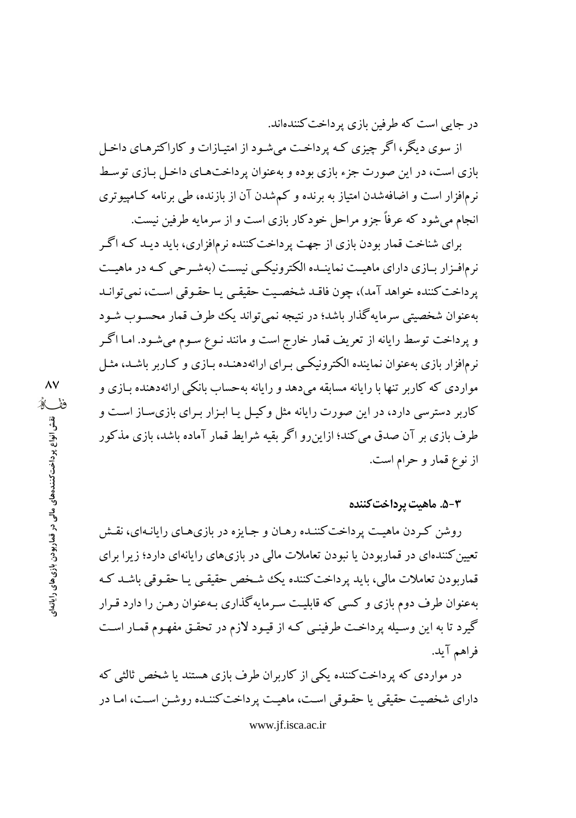در جایی است که طرفین بازی پر داخت کنندهاند.

از سوی دیگر، اگر چیزی کـه پرداخـت می شـود از امتیـازات و کاراکترهـای داخـل بازی است، در این صورت جزء بازی بوده و بهعنوان پر داخت های داخل بـازی توسـط نرمافزار است و اضافهشدن امتیاز به برنده و کمشدن آن از بازنده، طی برنامه کـامییوتری انجام می شود که عرفاً جزو مراحل خودکار بازی است و از سرمایه طرفین نیست.

برای شناخت قمار بودن بازی از جهت پرداخت کننده نرمافزاری، باید دیـد کـه اگـر نرمافیزار بیازی دارای ماهیت نماینیده الکترونیکسی نیست (بهشیرجی کیه در ماهیت يرداخت كننده خواهد آمد)، چون فاقـد شخصـيت حقيقـي يـا حقـوقي اسـت، نمي توانـد بهعنوان شخصیتی سرمایهگذار باشد؛ در نتیجه نمیتواند یک طرف قمار محسـوب شـود و پرداخت توسط رایانه از تعریف قمار خارج است و مانند نـوع سـوم میشـود. امـا اگـر نرمافزار بازی بهعنوان نماینده الکترونیکی بـرای ارائهدهنـده بـازی و کـاربر باشـد، مثـل مواردی که کاربر تنها با رایانه مسابقه میدهد و رایانه بهحساب بانکی ارائهدهنده بـازی و کاربر دسترسی دارد، در این صورت رایانه مثل وکیل یا ابـزار بـرای بازیسـاز اسـت و طرف بازی بر آن صدق می کند؛ ازاین٫و اگر بقیه شرایط قمار آماده باشد، بازی مذکور از نوع قمار و حرام است.

#### ۵-۳. ماهیت پرداخت کننده

روشن کردن ماهیت پرداخت کننـده رهـان و جـایزه در بازیهـای رایانـهای، نقـش تعیین کنندهای در قماربودن یا نبودن تعاملات مالی در بازیهای رایانهای دارد؛ زیرا برای قمار ہو دن تعاملات مالی، بابد پر داخت کنندہ بک شخص حقیقے پیا حقبوقی باشید کیه بهعنوان طرف دوم بازی و کسی که قابلیت سرمایهگذاری بـهعنوان رهـن را دارد قـرار گیرد تا به این وسیله پرداخت طرفینبی که از قیـود لازم در تحقـق مفهـوم قمـار اسـت فراهم آيد.

در مواردی که برداخت کننده یکی از کاربران طرف بازی هستند یا شخص ثالثی که دارای شخصیت حقیقی یا حقـوقی اسـت، ماهیـت پرداخت کننـده روشـن اسـت، امـا در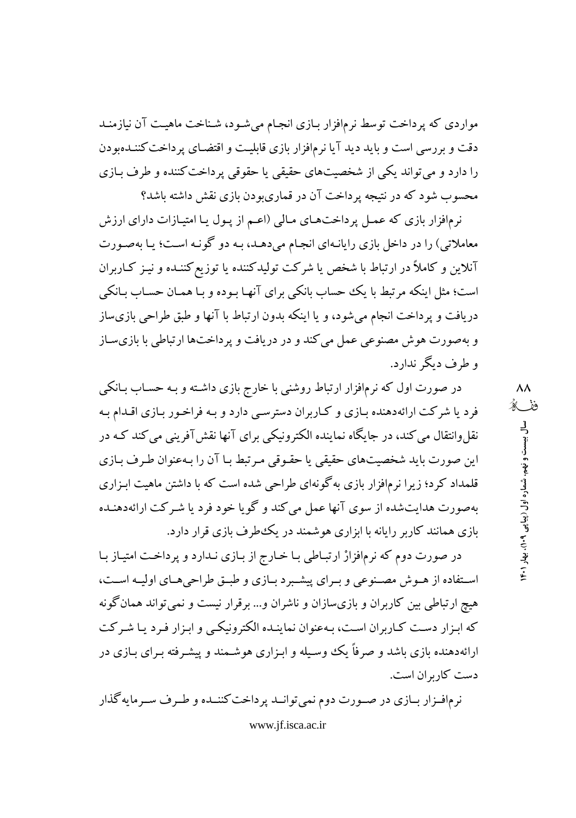مواردی که پرداخت توسط نرمافزار بـازی انجـام میشـود، شـناخت ماهیـت آن نیازمنـد دقت و بررسی است و باید دید آیا نرمافزار بازی قابلیت و اقتضـای پرداخت کننـدهبودن را دارد و می تواند یکی از شخصیتهای حقیقی یا حقوقی پرداخت کننده و طرف بـازی محسوب شود که در نتیجه برداخت آن در قماریبودن بازی نقش داشته باشد؟

نرمافزار بازی که عمـل پرداختهـای مـالی (اعـم از پـول پـا امتيـازات دارای ارزش معاملاتی) را در داخل بازی رایانـهای انجـام میدهـد، بـه دو گونـه اسـت؛ یـا بهصـورت آنلاین و کاملأ در ارتباط با شخص یا شرکت تولیدکننده یا توزیع کننـده و نیـز کـاربران است؛ مثل اینکه مرتبط با یک حساب بانکی برای آنهـا بـوده و بـا همـان حسـاب بـانکی دریافت و پرداخت انجام میشود، و یا اینکه بدون ارتباط با آنها و طبق طراحی بازی ساز و بهصورت هوش مصنوعی عمل می کند و در دریافت و پرداختها ارتباطی با بازی ساز و طرف ديگر ندارد.

در صورت اول که نرمافزار ارتباط روشنی با خارج بازی داشـته و بـه حسـاب بـانکی فرد یا شرکت ارائهدهنده بـازی و کـاربران دسترسـی دارد و بـه فراخـور بـازی اقـدام بـه نقل وانتقال مي کند، در جايگاه نماينده الکترونيکي براي آنها نقش آفريني مي کند کـه در این صورت باید شخصیتهای حقیقی یا حقـوقی مـرتبط بـا آن را بـهعنوان طـرف بـازی قلمداد کرد؛ زیرا نرمافزار بازی به گونهای طراحی شده است که با داشتن ماهیت ابـزاری بهصورت هدایتشده از سوی آنها عمل می کند و گویا خود فرد یا شـرکت ارائهدهنـده بازی همانند کاربر رایانه با ابزاری هوشمند در یک طرف بازی قرار دارد.

در صورت دوم که نرمافزارْ ارتبـاطي بـا خـارج از بـازي نـدارد و پرداخـت امتيـاز بـا استفاده از هوش مصنوعی و برای پیشبرد بازی و طبق طراحی های اولیه است، هیچ ارتباطی بین کاربران و بازیسازان و ناشران و… برقرار نیست و نمی تواند همان گونه که ایزار دست کبار ران است، بهعنوان نماینیده الکترونیکس و ایزار فیرد بیا شیرکت ارائهدهنده بازی باشد و صرفاً یک وسـیله و ابـزاری هوشـمند و پیشـرفته بـرای بـازی در دست کار بر ان است.

نرمافـزار بـازي در صـورت دوم نمي توانــد پرداخت كننــده و طـرف سـر مايه گذار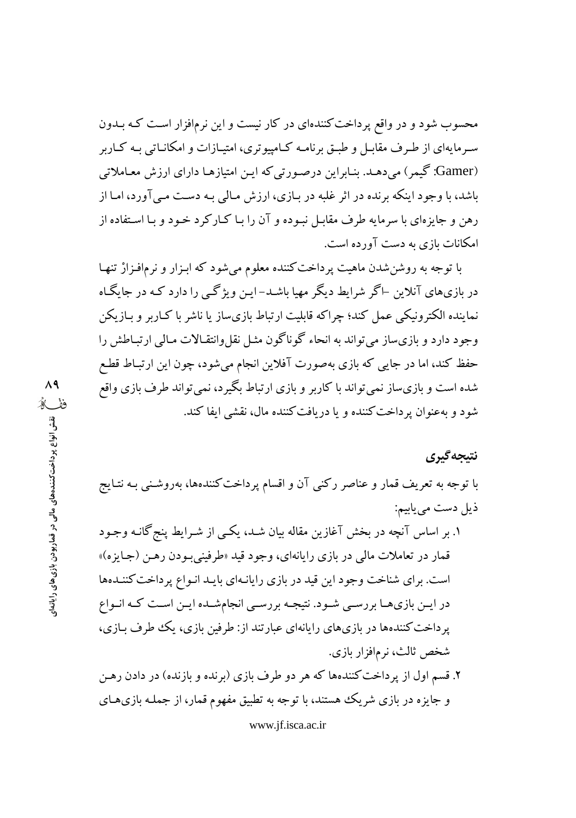محسوب شود و در واقع پرداخت کنندهای در کار نیست و این نرمافزار است کـه بــدون سه مایهای از طهر ف مقابـل و طبــق بر نامــه کــامییو تری، امتیــازات و امکانــاتی بــه کــاریر (Gamer: گیمر) می دهـد. بنـابراین درصـورتی که ایـن امتیازهـا دارای ارزش معـاملاتی باشد، با وجود اینکه برنده در اثر غلبه در بـازی، ارزش مـالی بـه دسـت مـی آورد، امـا از رهن و جایزهای با سرمایه طرف مقابـل نبـوده و آن را بـا کـارکرد خـود و بـا اسـتفاده از امکانات بازی به دست آورده است.

با توجه به روشن شدن ماهیت پرداخت کننده معلوم میشود که ابـزار و نرمافـزارْ تنهـا در بازیهای آنلاین –اگر شرایط دیگر مهیا باشـد–ایـن ویژگـی را دارد کـه در جایگـاه نماینده الکترونیکی عمل کند؛ چراکه قابلیت ارتباط بازیساز یا ناشر با کـاربر و بــازیکن وجود دارد و بازیساز می تواند به انحاء گوناگون مثـل نقل وانتقـالات مـالی ارتبـاطش را حفظ کند، اما در جایی که بازی بهصورت آفلاین انجام میشود، چون این ارتبـاط قطـع شده است و بازی ساز نمی تواند با کاربر و بازی ارتباط بگیرد، نمی تواند طرف بازی واقع شود و به عنوان پر داخت کننده و یا دریافت کننده مال، نقشی ایفا کند.

### نتيجه گيري

با توجه به تعریف قمار و عناصر رکنی آن و اقسام پرداخت کنندهها، بهروشـنـی بـه نتـایج ذيل دست مي بابيم:

- ۱. بر اساس آنچه در بخش آغازین مقاله بیان شـد، یکـی از شـرایط پنج گانــه وجـود قمار در تعاملات مالي در بازي رايانهاي، وجود قيد «طرفيني بـودن رهـن (جـايزه)» است. برای شناخت وجود این قید در بازی رایانهای بایـد انـواع پرداخت كننـدهها در ایــز بازیهـا بررسـی شـود. نتیجـه بررسـی انجامشـده ایــز اسـت کـه انـواع پرداخت کنندهها در بازیهای رایانهای عبارتند از: طرفین بازی، یک طرف بازی، شخص ثالث، نرمافزار بازي.
- ۲. قسم اول از یرداخت کنندهها که هر دو طرف بازی (برنده و بازنده) در دادن رهـن و جایزه در بازی شریک هستند، با توجه به تطبیق مفهوم قمار، از جملـه بازیهـای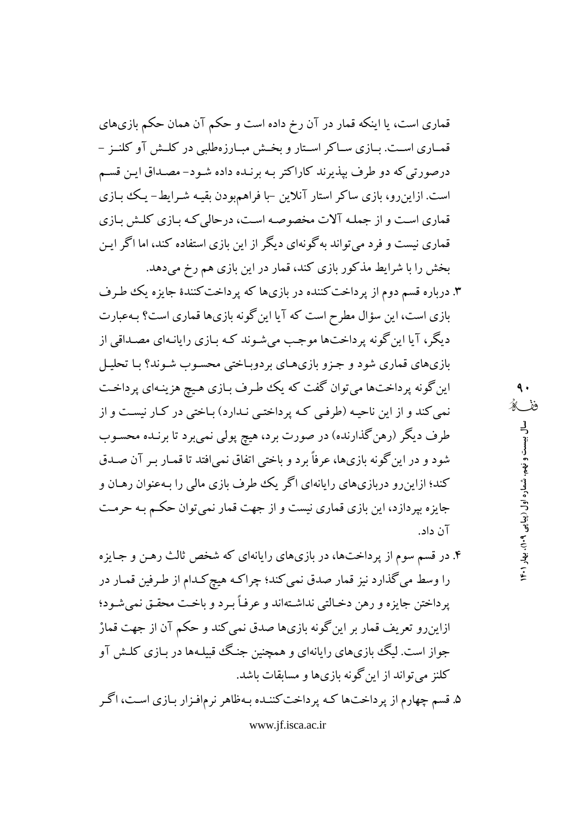قماری است، یا اینکه قمار در آن رخ داده است و حکم آن همان حکم بازیهای قمباری است. بیازی سیاکر استار و بخش مبیارزهطلبی در کلیش آو کلنیز -درصورتی که دو طرف بیذیرند کاراکتر بـه برنـده داده شـود- مصـداق ایـن قسـم است. ازاین رو، بازی ساکر استار آنلاین -با فراهم بودن بقیـه شـرایط- یـک بـازی قماری است و از جمله آلات مخصوصه است، درحالی کـه بـازی کلـش بـازی قماری نیست و فرد می تواند به گونهای دیگر از این بازی استفاده کند، اما اگر ایـن بخش را با شرایط مذکور بازی کند، قمار در این بازی هم رخ میدهد.

۳. درباره قسم دوم از پرداخت کننده در بازیها که پرداخت کنندهٔ جایزه یک طرف بازی است، این سؤال مطرح است که آیا این گونه بازیها قماری است؟ بـهعبارت دیگر، آیا این گونه پرداختها موجب می شـوند کـه بـازی رایانـهای مصـداقی از بازیهای قماری شود و جزو بازیهای بردوباختی محسوب شـوند؟ بـا تحليـل این گونه پرداختها میتوان گفت که یک طرف بـازی هـیچ هزینـهای پرداخـت نمي كند و از اين ناحيـه (طرفـي كـه پرداختـي نـدارد) بـاختي در كـار نيسـت و از طرف دیگر (رهن گذارنده) در صورت برد، هیچ پولی نمیبرد تا برنـده محسـوب شود و در این گونه بازیها، عرفاً برد و باختی اتفاق نمی\فتد تا قمـار بـر آن صـدق کند؛ ازاین رو دربازیهای رایانهای اگر یک طرف بازی مالی را بهعنوان رهـان و جایزه بپردازد، این بازی قماری نیست و از جهت قمار نمی توان حکم بـه حرمـت آن داد.

۴. در قسم سوم از پرداختها، در بازیهای رایانهای که شخص ثالث رهـن و جـایزه را وسط مي گذارد نيز قمار صدق نمي كند؛ چراكـه هيچ كـدام از طـرفين قمـار در پرداختن جايزه و رهن دخـالتي نداشـتهاند و عرفـاً بـرد و باخـت محقـق نميشـود؛ ازاینرو تعریف قمار بر این گونه بازیها صدق نمی کند و حکم آن از جهت قمارْ جواز است. لیگ بازیهای رایانهای و همچنین جنگ قبیلـهها در بـازی کلـش آو كلنز مي تواند از اين گونه بازي ها و مسابقات باشد.

۵. قسم چهارم از پر داختها کـه پر داخت کننـده بـهظاهر نرمافـزار بـازی اسـت، اگـر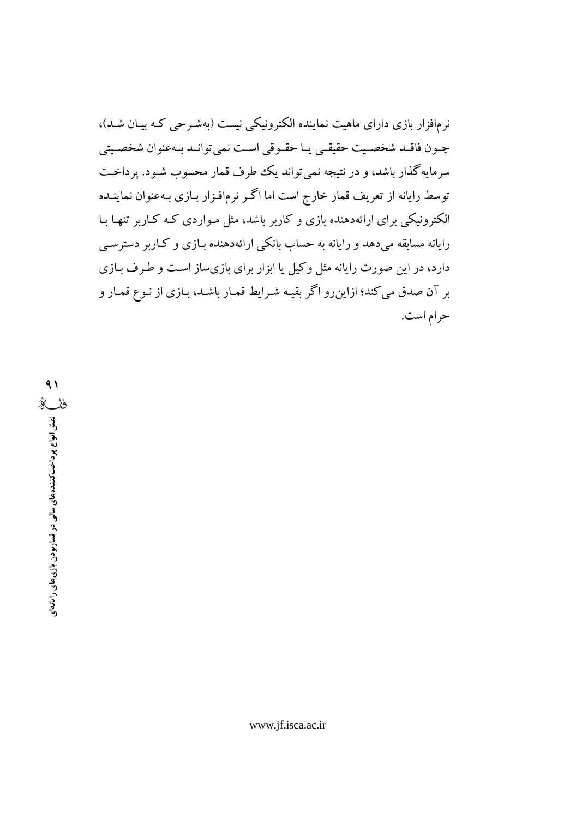نرمافزار بازی دارای ماهیت نماینده الکترونیکی نیست (بهشـرحی کـه بیـان شـد)، جبون فاقبد شخصيت حقيقبي يبا حقبوقي است نهي توانيد بيهعنوان شخصيتي سرمایهگذار باشد، و در نتیجه نمی تواند یک طرف قمار محسوب شـود. پرداخـت توسط رایانه از تعریف قمار خارج است اما اگـر نرمافـزار بـازی بـهعنوان نماینـده الکترونیکی برای ارائهدهنده بازی و کاربر باشد، مثل مـواردی کـه کـاربر تنهـا بـا رایانه مسابقه میدهد و رایانه به حساب بانکی ارائهدهنده بـازی و کـاربر دسترسـی دارد، در این صورت رایانه مثل وکیل یا ابزار برای بازیساز است و طرف بـازی بر آن صدق می کند؛ ازاین٫و اگر بقیـه شـرایط قمـار باشـد، بـازی از نـوع قمـار و حرام است.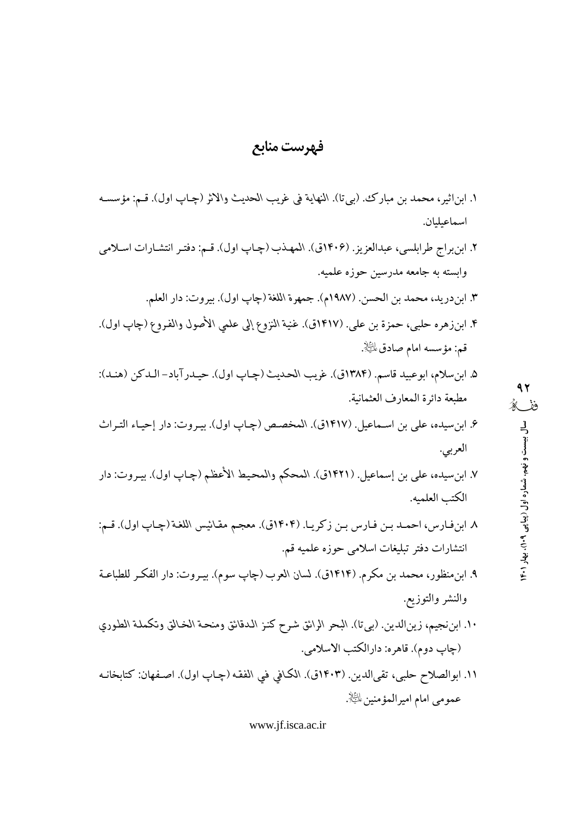# فهرست منابع

١. ابن|ثير، محمد بن مبارك. (بيتا). النهاية في غريب الحديث والاثر (چـاپ اول). قـم: مؤسسـه اسماعبلبان. ۲. ابن براج طرابلسي، عبدالعزيز. (۱۴۰۶ق). المهذب (چـاپ اول). قـم: دفتـر انتشـارات اسـلامي وابسته به جامعه مدرسین حوزه علمیه. ٣. ابندريد، محمد بن الحسن. (١٩٨٧م). جمهرة اللغة (چاپ اول). بيروت: دار العلم. ۴. ابنزوهره حلبي، حمزة بن علي. (١۴١٧ق). غنية النزوع إلى علمي الأصول والفـروع (چاپ اول). قم: مؤسسه امام صادق $\mathbb{R}.$ ۵. ابنِ سلام، ابوعبيد قاسم. (١٣٨۴ق). غريب الحديث (چـاپ اول). حيـدرآباد- الـدكن (هنـد): 97 مطبعة دائرة المعارف العثمانية. ففكه ۶. ابن سيده، علي بن اسـماعيل. (١۴١٧ق). المخصـص (چـاپ اول). بيـروت: دار إحيـاء التـراث سال بیست و نهم، شماره اول (پیاپی ۱۴۰۹)، بهار ۱۴۰۱ العربي. ٧. ابنِ سيده، علي بن إسماعيل. (١٤٢١ق). المحكم والمحيط الأعظم (چـاپ اول). بيـروت: دار الكتب العلميه. ٨ ابن فارس، احمـد بـن فـارس بـن زكريـا. (١٤٠۴ق). معجم مقـائيس اللغـة (چـاپ اول). قـم: انتشارات دفتر تبليغات اسلامي حوزه علميه قم. ۹. ابنِ منظور، محمد بن مكرم. (۱۴۱۴ق). لسان العرب (چاپ سوم). بيـروت: دار الفكـر للطباعـة والنشر والتوزيع. ١٠. ابن نجيم، زين|لدين. (بيتا). البحر الرائق شرح كنـز الـدقائق ومنحـة الخـالق وتكملـة الطـوري (چاپ دوم). قاهره: دارالکتب الاسلامي. ١١. ابوالصلاح حلبي، تقي|لدين. (١۴٠٣ق). الكافي في الفقه (چـاپ اول). اصـفهان: كتابخانـه عمومي امام اميرالمؤمنين ﷺ.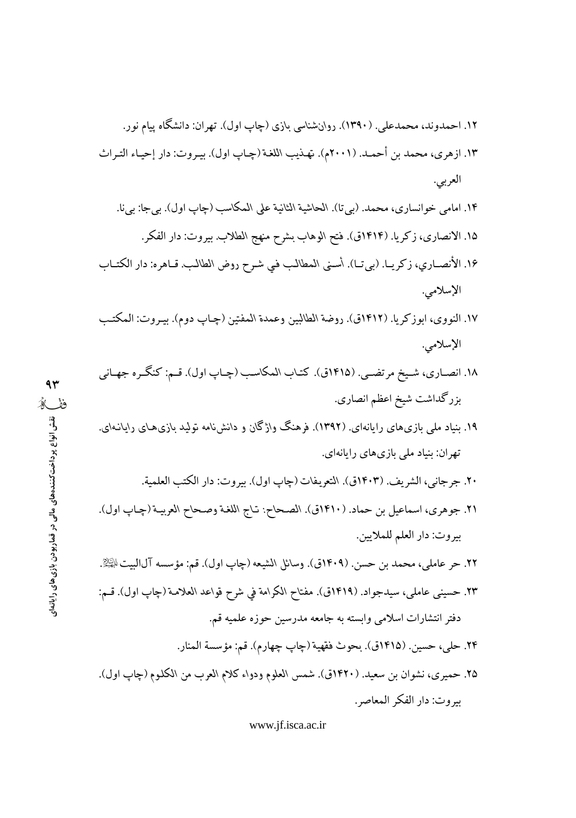۱۲. احمدوند، محمدعلی. (۱۳۹۰). روانشناسی بازی (چاپ اول). تهران: دانشگاه ییام نور.

١٣. ازهري، محمد بن أحمـد. (٢٠٠١م). تهـذيب اللغـة (چـاب اول). بيـروت: دار إحيـاء التـراث العربي.

- ۱۴. امامي خوانساري، محمد. (بيتا). الحاشية الثانية على المكاسب (چاپ اول). بي جا: بي نا. ۱۵. الانصاري، زكريا. (۱۴۱۴ق). فتح الوهاب بشرح منهج الطلاب. بيروت: دار الفكر.
- ١۶. الأنصـاري، زكريـا. (بيتـا). أسـني المطالب في شـرح روض الطالب. قـاهره: دار الكتـاب الإسلامي.
- ١٧. النووي، ابوزكريا. (١٤١٢ق). روضة الطالبين وعمدة المفتين (چـاپ دوم). بيـروت: المكتـب الإسلامي.
- ۱۸. انصـاري، شـيخ مرتضـي. (۱۴۱۵ق). كتـاب المكاسـب (چـاپ اول). قـم: كنگـره جهـاني بزرگداشت شيخ اعظم انصاري.
- ۱۹. بنیاد ملی بازیهای رایانهای. (۱۳۹۲). فرهنگ واژگان و دانشنامه تولید بازیهای رایانـهای. تهران: بنیاد ملی بازیهای رایانهای.
	- ٢٠. جرجاني، الشريف. (١٤٠٣ق). التعريفات (چاپ اول). بيروت: دار الكتب العلمية.
- ٢١. جوهري، اسماعيل بن حماد. (١٤١٠ق). الصحاح: تـاج اللغـة وصـحاح العربيـة (چـاپ اول). بيروت: دار العلم للملايين.
- ٢٢. حر عاملي، محمد بن حسن. (١٤٠٩ق). وسائل الشيعه (چاپ اول). قم: مؤسسه آل|لبيتﷺ.
- ٢٣. حسيني عاملي، سيدجواد. (١٤١٩ق). مفتاح الكرامة في شرح قواعد العلامة (چاپ اول). قـم: دفتر انتشارات اسلامی وابسته به جامعه مدرسین حوزه علمیه قم.
	- ٢۴. حلي، حسين. (١۴١٥ق). بحوث فقهية (جاب جهارم). قم: مؤسسة المنار.
- ٢۵. حميري، نشوان بن سعيد. (١۴٢٠ق). شمس العلوم ودواء كلام العرب من الكلوم (چاپ اول). بيروت: دار الفكر المعاصر.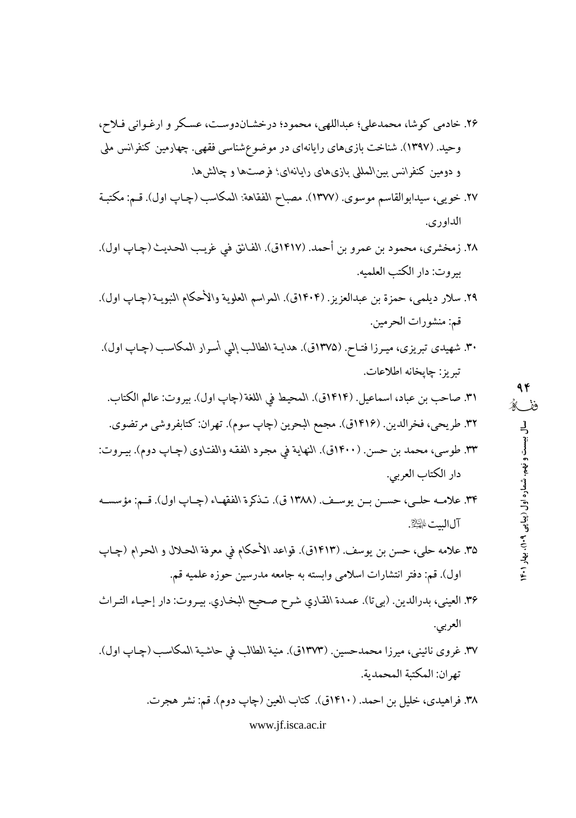- ۲۶. خادمی کوشا، محمدعلی؛ عبداللهی، محمود؛ درخشـاندوسـت، عسـکر و ارغـوانی فـلاح، وحید. (۱۳۹۷). شناخت بازیهای رایانهای در موضوعشناسی فقهی. چهارمین کنفرانس ملی و دومین کنفرانس بینالمللی بازیهای رایانهای؛ فرصتها و چالشها.
- ٢٧. خويبي، سيدابوالقاسم موسوى. (١٣٧٧). مصباح الفقاهة: المكاسب (چـاپ اول). قـم: مكتبـة الداوري.
- ٢٨. زمخشري، محمود بن عمرو بن أحمد. (١٤١٧ق). الفائق في غريب الحديث (چـاپ اول). بيروت: دار الكتب العلميه.
- ٢٩. سلار ديلمي، حمزة بن عبدالعزيز. (١٤٠۴ق). المراسم العلوية والأحكام النبويـة (چـاپ اول). قم: منشورات الحرمين.
- ۳۰. شهیدی تبریزی، میرزا فتـاح. (۱۳۷۵ق). هدایـة الطالب إلمي أسرار المكاسب (چـاپ اول). تبريز : چايخانه اطلاعات.
- ٣١. صاحب بن عباد، اسماعيل. (١٤١٤ق). المحيط في اللغة (چاپ اول). بيروت: عالم الكتاب. ٣٢. طريحي، فخرالدين. (١٤١۶ق). مجمع البحرين (چاپ سوم). تهران: كتابفروشي مرتضوي. ٣٣. طوسي، محمد بن حسن. (١٤٠٠ق). النهاية في مجرد الفقه والفتاوي (چـاپ دوم). بيـروت: دار الكتاب العربي.
- ٣٣. علامـه حلـي، حسـن بـن يوسـف. (١٣٨٨ ق). تـذكرة الفقهـاء (چـاب اول). قـم: مؤسسـه آلاليت اليكي
- ٣۵. علامه حلي، حسن بن يوسف. (١٤١٣ق). قواعد الأحكام في معرفة الحـلال و الحـرام (چـاپ اول). قم: دفتر انتشارات اسلامی وابسته به جامعه مدرسین حوزه علمیه قم.
- ٣۶. العيني، بدرالدين. (بي تا). عمدة القاري شرح صحيح البخاري. بيروت: دار إحياء التراث العربي.
- ٣٧. غروي نائيني، ميرزا محمدحسين. (١٣٧٣ق). منية الطالب في حاشية المكاسب (چـاپ اول). تهران: المكتبة المحمدية.
	- ۳۸. فراهیدی، خلیل بن احمد. (۱۴۱۰ق). کتاب العین (چاپ دوم). قم: نشر هجرت.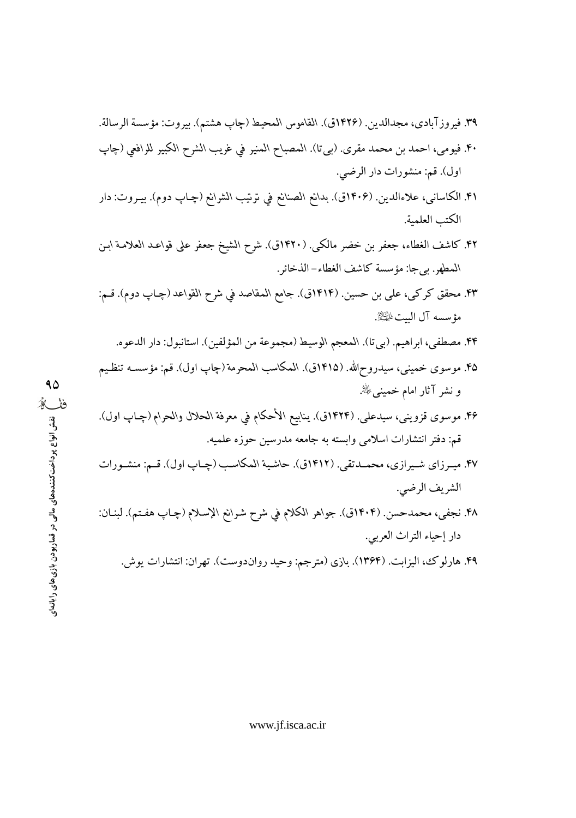اول). قم: منشورات دار الرضي.

- ۴۱. الكاسانى، علاءالدين. (۱۴۰۶ق). بدائع الصنائع في نرتيب الشرائع (چـاپ دوم). بيـروت: دار الكتب العلمية.
- ۴۲. كاشف الغطاء، جعفر بن خضر مالكي. (۱۴۲۰ق). شرح الشيخ جعفر على قواعـد العلامـة ابـن المطهر. بيجا: مؤسسة كاشف الغطاء–الذخائر.
- ۴۳. محقق کرکی، علی بن حسین. (۱۴۱۴ق). جامع المقاصد فی شرح القواعد (چـاپ دوم). قـم: مؤسسه آل الست ﷺ.
	- ۴۴. مصطفى، ابراهيم. (بيتا). المعجم الوسيط (مجموعة من المؤلفين). استانبول: دار الدعوه.
- ۴۵. موسوى خميني، سيدروح\لله. (۱۴۱۵ق). المكاسب المحرمة (چاپ اول). قم: مؤسســه تنظـيم و نشر آثار امام خمینبیﷺ.
- ۴۶. موسوى قزويني، سيدعلي. (۱۴۲۴ق). ينابيع الأحكام في معرفة الحلال والحرام (چـاپ اول). قم: دفتر انتشارات اسلامی وابسته به جامعه مدرسین حوزه علمیه.
- ۴۷. میـرزای شـیرازی، محمـدتقی. (۱۴۱۲ق). حاشـیة المکاسـب (چـاپ اول). قـم: منشـورات الشريف الرضي.
- ۴۸. نجفي، محمدحسن. (۱۴۰۴ق). جواهر الكلام في شرح شرائع الإسلام (چـاپ هفـتم). لبنـان: دار إحياء التراث العربي.

۴۹. هارلوك، اليزابت. (۱۳۶۴). بازي (مترجم: وحيد رواندوست). تهران: انتشارات يوش.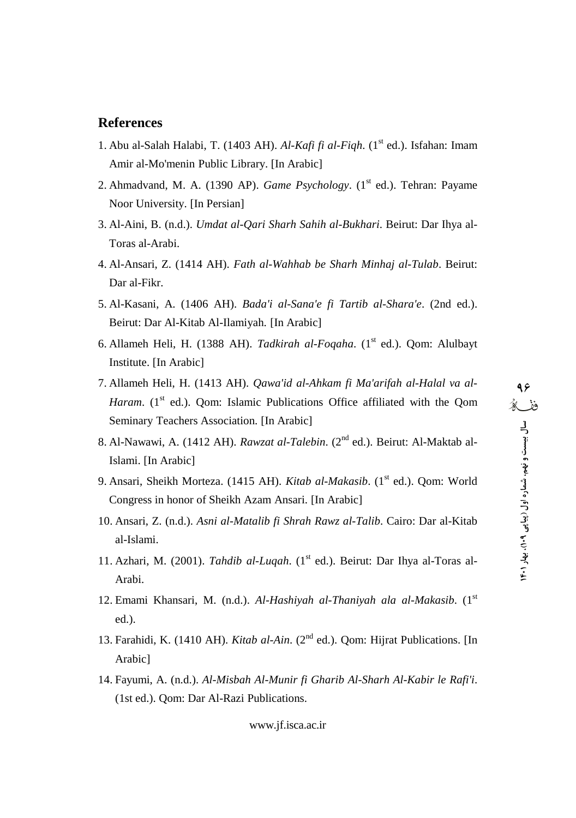#### **References**

- 1. Abu al-Salah Halabi, T. (1403 AH). *Al-Kafi fi al-Fiqh*. (1 st ed.). Isfahan: Imam Amir al-Mo'menin Public Library. [In Arabic]
- 2. Ahmadvand, M. A. (1390 AP). *Game Psychology*. (1 st ed.). Tehran: Payame Noor University. [In Persian]
- 3. Al-Aini, B. (n.d.). *Umdat al-Qari Sharh Sahih al-Bukhari*. Beirut: Dar Ihya al- Toras al-Arabi.
- 4. Al-Ansari, Z. (1414 AH). *Fath al-Wahhab be Sharh Minhaj al-Tulab*. Beirut: Dar al-Fikr.
- 5. Al-Kasani, A. (1406 AH). *Bada'i al-Sana'e fi Tartib al-Shara'e*. (2nd ed.). Beirut: Dar Al-Kitab Al-Ilamiyah. [In Arabic]
- 6. Allameh Heli, H. (1388 AH). *Tadkirah al-Foqaha*. (1 st ed.). Qom: Alulbayt Institute. [In Arabic]
- 7. Allameh Heli, H. (1413 AH). *Qawa'id al-Ahkam fi Ma'arifah al-Halal va al- Haram*. (1<sup>st</sup> ed.). Qom: Islamic Publications Office affiliated with the Qom  $\hat{\mathbb{X}}$  is Seminary Teachers Association. [In Arabic]
- 8. Al-Nawawi, A. (1412 AH). *Rawzat al-Talebin*. (2<sup>nd</sup> ed.). Beirut: Al-Maktab al-Islami. [In Arabic]
- 9. Ansari, Sheikh Morteza. (1415 AH). *Kitab al-Makasib*. (1 st ed.). Qom: World Congress in honor of Sheikh Azam Ansari. [In Arabic]
- 10. Ansari, Z. (n.d.). *Asni al-Matalib fi Shrah Rawz al-Talib*. Cairo: Dar al-Kitab al-Islami.
- 11. Azhari, M. (2001). *Tahdib al-Luqah*. (1<sup>st</sup> ed.). Beirut: Dar Ihya al-Toras al-Arabi.
- 12. Emami Khansari, M. (n.d.). *Al-Hashiyah al-Thaniyah ala al-Makasib*. (1 st ed.).
- 13. Farahidi, K. (1410 AH). *Kitab al-Ain*. (2<sup>nd</sup> ed.). Qom: Hijrat Publications. [In Arabic]
- 14. Fayumi, A. (n.d.). *Al-Misbah Al-Munir fiGharib Al-Sharh Al-Kabir le Rafi'i*. (1st ed.). Qom: Dar Al-Razi Publications.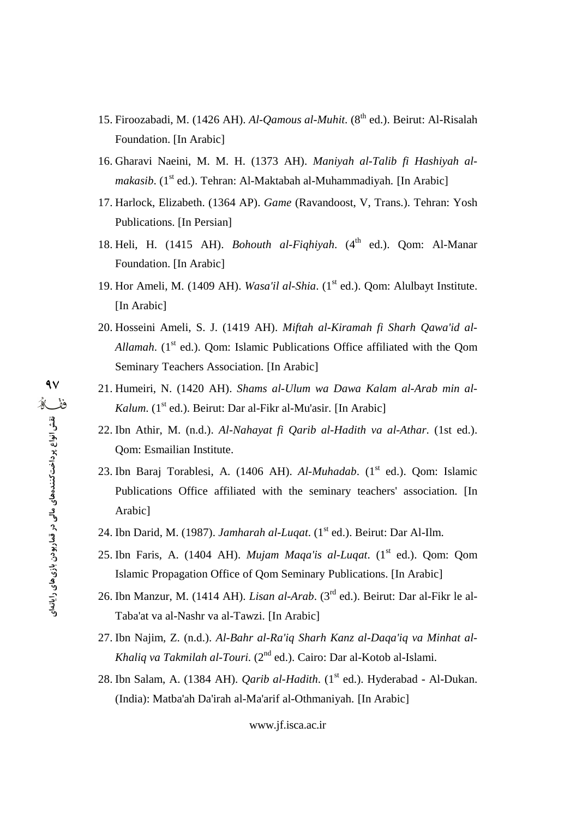- 15. Firoozabadi, M. (1426 AH). *Al-Qamous al-Muhit*. (8 th ed.). Beirut: Al-Risalah Foundation. [In Arabic]
- 16. Gharavi Naeini, M. M. H. (1373 AH). *Maniyah al-Talib fi Hashiyah al* makasib. (1<sup>st</sup> ed.). Tehran: Al-Maktabah al-Muhammadiyah. [In Arabic]
- 17. Harlock, Elizabeth. (1364 AP). *Game* (Ravandoost, V, Trans.). Tehran: Yosh Publications. [In Persian]
- 18. Heli, H. (1415 AH). *Bohouth al-Fiqhiyah*. (4 th ed.). Qom: Al-Manar Foundation. [In Arabic]
- 19. Hor Ameli, M. (1409 AH). *Wasa'il al-Shia*. (1<sup>st</sup> ed.). Qom: Alulbayt Institute. [In Arabic]
- 20. Hosseini Ameli, S. J. (1419 AH). *Miftah al-Kiramah fi Sharh Qawa'id al-* Allamah. (1<sup>st</sup> ed.). Qom: Islamic Publications Office affiliated with the Qom Seminary Teachers Association. [In Arabic]
- 21. Humeiri, N. (1420 AH). *Shams al-Ulum waDawa Kalam al-Arab min al-* Kalum. (1<sup>st</sup> ed.). Beirut: Dar al-Fikr al-Mu'asir. [In Arabic]
- 22. Ibn Athir, M. (n.d.). *Al-Nahayat fi Qarib al-Hadith va al-Athar*. (1st ed.). Qom: Esmailian Institute.
- 23. Ibn Baraj Torablesi, A. (1406 AH). Al-Muhadab. (1<sup>st</sup> ed.). Qom: Islamic Publications Office affiliated with the seminary teachers' association. [In Arabic]
- 24. Ibn Darid, M. (1987). *Jamharah al-Luqat*. (1<sup>st</sup> ed.). Beirut: Dar Al-Ilm.
- 25. Ibn Faris, A. (1404 AH). *Mujam Maqa'is al-Luqat*. (1 st ed.). Qom: Qom Islamic Propagation Office of Qom Seminary Publications. [In Arabic]
- 26. Ibn Manzur, M. (1414 AH). *Lisan al-Arab*. (3<sup>rd</sup> ed.). Beirut: Dar al-Fikr le al-Taba'at va al-Nashr va al-Tawzi. [In Arabic]
- 27. Ibn Najim, Z. (n.d.). *Al-Bahr al-Ra'iq Sharh Kanz al-Daqa'iq va Minhat al- Khaliq va Takmilah al-Touri.* (2<sup>nd</sup> ed.). Cairo: Dar al-Kotob al-Islami.
- 28. Ibn Salam, A. (1384 AH). *Qarib al-Hadith*. (1 st ed.). Hyderabad Al-Dukan. (India): Matba'ah Da'irah al-Ma'arif al-Othmaniyah. [In Arabic]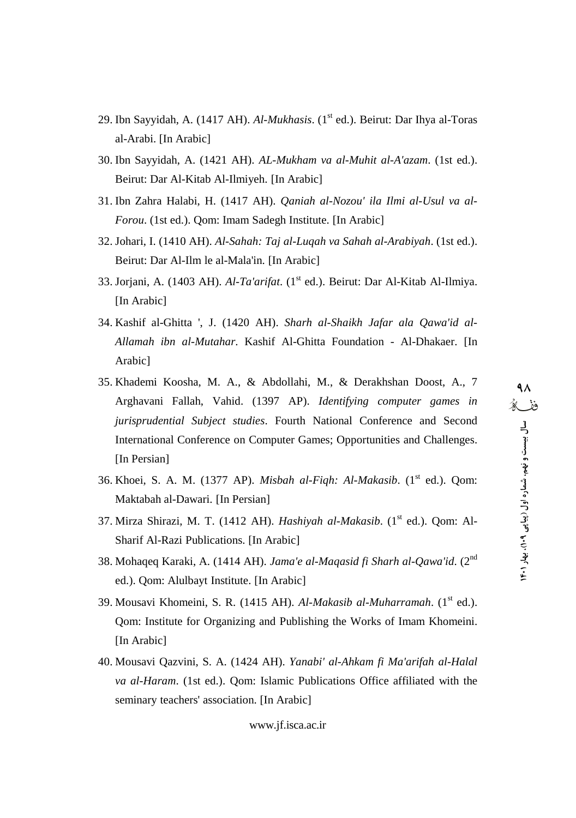- 29. Ibn Sayyidah, A. (1417 AH). *Al-Mukhasis*. (1<sup>st</sup> ed.). Beirut: Dar Ihya al-Toras al-Arabi. [In Arabic]
- 30. Ibn Sayyidah, A. (1421 AH). *AL-Mukham va al-Muhit al-A'azam*. (1st ed.). Beirut: Dar Al-Kitab Al-Ilmiyeh. [In Arabic]
- 31. Ibn Zahra Halabi, H. (1417 AH). *Qaniah al-Nozou' ila Ilmi al-Usul va al- Forou*. (1st ed.). Qom: Imam Sadegh Institute. [In Arabic]
- 32. Johari, I. (1410 AH). *Al-Sahah: Taj al-Luqah va Sahah al-Arabiyah*. (1st ed.). Beirut: Dar Al-Ilm le al-Mala'in. [In Arabic]
- 33. Jorjani, A. (1403 AH). *Al-Ta'arifat*. (1 st ed.). Beirut: Dar Al-Kitab Al-Ilmiya. [In Arabic]
- 34. Kashif al-Ghitta ', J. (1420 AH). *Sharh al-Shaikh Jafar ala Qawa'id al- Allamah ibn al-Mutahar*. Kashif Al-Ghitta Foundation - Al-Dhakaer. [In Arabic]
- 35. Khademi Koosha, M. A., & Abdollahi, M., & Derakhshan Doost, A., 7 Arghavani Fallah, Vahid. (1397 AP). *Identifying computer games in jurisprudential Subject studies*. Fourth National Conference and Second International Conference on Computer Games; Opportunities and Challenges. [In Persian]
- 36. Khoei, S. A. M. (1377 AP). *Misbah al-Fiqh: Al-Makasib*. (1 st ed.). Qom: Maktabah al-Dawari. [In Persian]
- 37. Mirza Shirazi, M. T. (1412 AH). *Hashiyah al-Makasib*. (1 st ed.). Qom: Al- Sharif Al-Razi Publications. [In Arabic]
- 38. Mohaqeq Karaki, A. (1414 AH). *Jama'e al-Maqasid fi Sharh al-Qawa'id*. (2 nd ed.). Qom: Alulbayt Institute. [In Arabic]
- 39. Mousavi Khomeini, S. R. (1415 AH). *Al-Makasib al-Muharramah*. (1 st ed.). Qom: Institute for Organizing and Publishing the Works of Imam Khomeini. [In Arabic]
- 40. Mousavi Qazvini, S. A. (1424 AH). *Yanabi' al-Ahkam fi Ma'arifah al-Halal va al-Haram*. (1st ed.). Qom: Islamic Publications Office affiliated with the seminary teachers' association. [In Arabic]